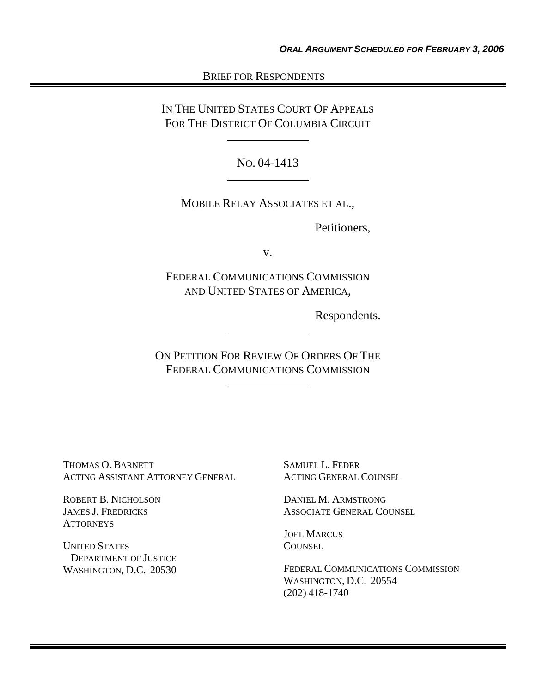# BRIEF FOR RESPONDENTS

IN THE UNITED STATES COURT OF APPEALS FOR THE DISTRICT OF COLUMBIA CIRCUIT

NO. 04-1413

MOBILE RELAY ASSOCIATES ET AL.,

Petitioners,

v.

FEDERAL COMMUNICATIONS COMMISSION AND UNITED STATES OF AMERICA,

Respondents.

ON PETITION FOR REVIEW OF ORDERS OF THE FEDERAL COMMUNICATIONS COMMISSION

THOMAS O. BARNETT ACTING ASSISTANT ATTORNEY GENERAL

ROBERT B. NICHOLSON JAMES J. FREDRICKS **ATTORNEYS** 

UNITED STATES DEPARTMENT OF JUSTICE WASHINGTON, D.C. 20530 SAMUEL L. FEDER ACTING GENERAL COUNSEL

DANIEL M. ARMSTRONG ASSOCIATE GENERAL COUNSEL

JOEL MARCUS **COUNSEL** 

FEDERAL COMMUNICATIONS COMMISSION WASHINGTON, D.C. 20554 (202) 418-1740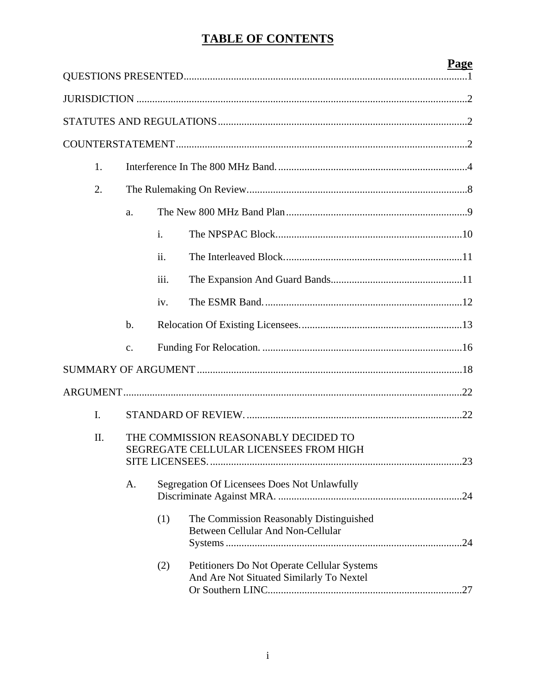# **TABLE OF CONTENTS**

|     |               |                |                                                                                         | <b>Page</b> |
|-----|---------------|----------------|-----------------------------------------------------------------------------------------|-------------|
|     |               |                |                                                                                         |             |
|     |               |                |                                                                                         |             |
|     |               |                |                                                                                         |             |
|     |               |                |                                                                                         |             |
| 1.  |               |                |                                                                                         |             |
| 2.  |               |                |                                                                                         |             |
|     | a.            |                |                                                                                         |             |
|     |               | $\mathbf{i}$ . |                                                                                         |             |
|     |               | ii.            |                                                                                         |             |
|     |               | iii.           |                                                                                         |             |
|     |               | iv.            |                                                                                         |             |
|     | $\mathbf b$ . |                |                                                                                         |             |
|     | $C_{\bullet}$ |                |                                                                                         |             |
|     |               |                |                                                                                         |             |
|     |               |                |                                                                                         |             |
| I.  |               |                |                                                                                         |             |
| II. |               |                | THE COMMISSION REASONABLY DECIDED TO                                                    |             |
|     |               |                | SEGREGATE CELLULAR LICENSEES FROM HIGH                                                  |             |
|     |               |                |                                                                                         |             |
|     | Α.            |                | Segregation Of Licensees Does Not Unlawfully                                            |             |
|     |               | (1)            | The Commission Reasonably Distinguished                                                 |             |
|     |               |                | Between Cellular And Non-Cellular                                                       |             |
|     |               |                |                                                                                         |             |
|     |               | (2)            | Petitioners Do Not Operate Cellular Systems<br>And Are Not Situated Similarly To Nextel |             |
|     |               |                |                                                                                         |             |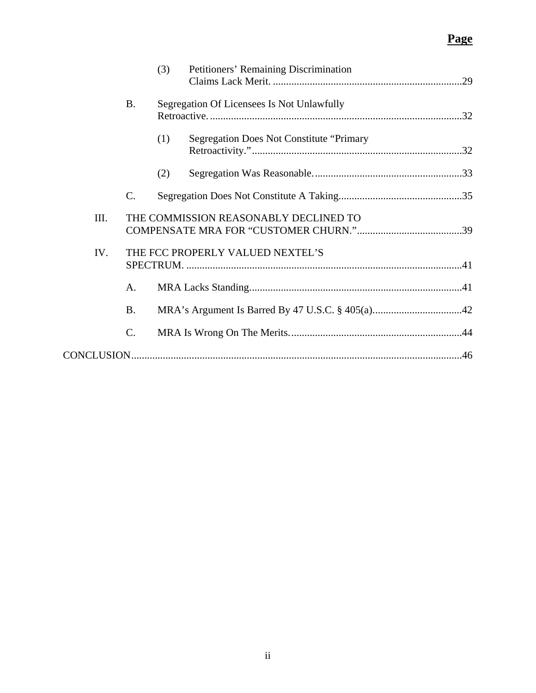|      |                 | (3) | Petitioners' Remaining Discrimination           |  |
|------|-----------------|-----|-------------------------------------------------|--|
|      | <b>B.</b>       |     | Segregation Of Licensees Is Not Unlawfully      |  |
|      |                 | (1) | <b>Segregation Does Not Constitute "Primary</b> |  |
|      |                 | (2) |                                                 |  |
|      | $\mathcal{C}$ . |     |                                                 |  |
| III. |                 |     | THE COMMISSION REASONABLY DECLINED TO           |  |
| IV.  |                 |     | THE FCC PROPERLY VALUED NEXTEL'S                |  |
|      | A.              |     |                                                 |  |
|      | <b>B.</b>       |     |                                                 |  |
|      | $\mathbf{C}$ .  |     |                                                 |  |
|      |                 |     |                                                 |  |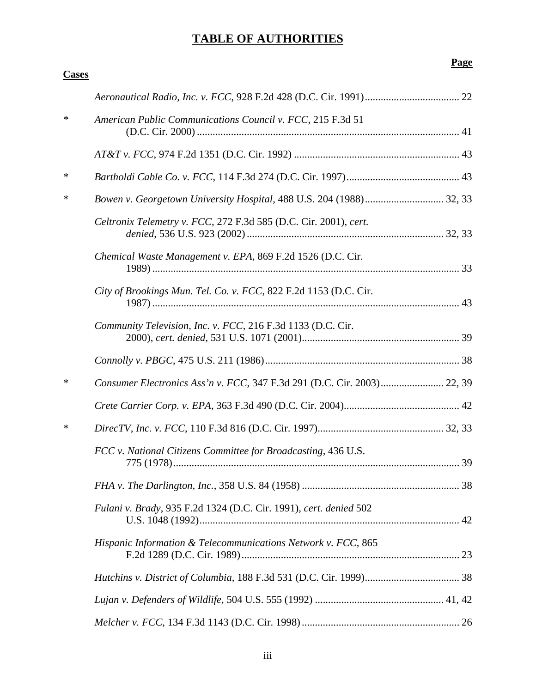# **TABLE OF AUTHORITIES**

| <b>Cases</b> |                                                                         |  |
|--------------|-------------------------------------------------------------------------|--|
|              |                                                                         |  |
| $\ast$       | American Public Communications Council v. FCC, 215 F.3d 51              |  |
|              |                                                                         |  |
| $\ast$       |                                                                         |  |
| ∗            |                                                                         |  |
|              | Celtronix Telemetry v. FCC, 272 F.3d 585 (D.C. Cir. 2001), cert.        |  |
|              | Chemical Waste Management v. EPA, 869 F.2d 1526 (D.C. Cir.              |  |
|              | City of Brookings Mun. Tel. Co. v. FCC, 822 F.2d 1153 (D.C. Cir.        |  |
|              | Community Television, Inc. v. FCC, 216 F.3d 1133 (D.C. Cir.             |  |
|              |                                                                         |  |
| $\ast$       | Consumer Electronics Ass'n v. FCC, 347 F.3d 291 (D.C. Cir. 2003) 22, 39 |  |
|              |                                                                         |  |
| ∗            |                                                                         |  |
|              | FCC v. National Citizens Committee for Broadcasting, 436 U.S.           |  |
|              |                                                                         |  |
|              | Fulani v. Brady, 935 F.2d 1324 (D.C. Cir. 1991), cert. denied 502       |  |
|              | Hispanic Information & Telecommunications Network v. FCC, 865           |  |
|              |                                                                         |  |
|              |                                                                         |  |
|              |                                                                         |  |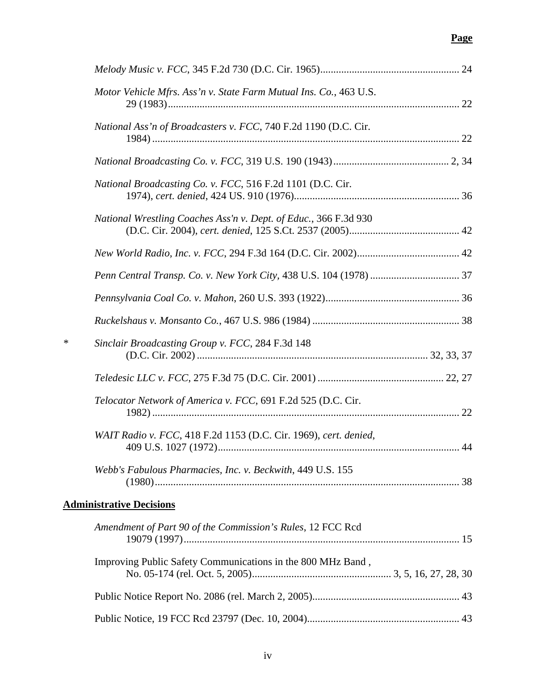|        | Motor Vehicle Mfrs. Ass'n v. State Farm Mutual Ins. Co., 463 U.S. |  |
|--------|-------------------------------------------------------------------|--|
|        | National Ass'n of Broadcasters v. FCC, 740 F.2d 1190 (D.C. Cir.   |  |
|        |                                                                   |  |
|        | National Broadcasting Co. v. FCC, 516 F.2d 1101 (D.C. Cir.        |  |
|        | National Wrestling Coaches Ass'n v. Dept. of Educ., 366 F.3d 930  |  |
|        |                                                                   |  |
|        |                                                                   |  |
|        |                                                                   |  |
|        |                                                                   |  |
| $\ast$ | Sinclair Broadcasting Group v. FCC, 284 F.3d 148                  |  |
|        |                                                                   |  |
|        | Telocator Network of America v. FCC, 691 F.2d 525 (D.C. Cir.      |  |
|        | WAIT Radio v. FCC, 418 F.2d 1153 (D.C. Cir. 1969), cert. denied,  |  |
|        | Webb's Fabulous Pharmacies, Inc. v. Beckwith, 449 U.S. 155        |  |
|        | <b>Administrative Decisions</b>                                   |  |
|        | Amendment of Part 90 of the Commission's Rules, 12 FCC Rcd        |  |
|        | Improving Public Safety Communications in the 800 MHz Band,       |  |
|        |                                                                   |  |
|        |                                                                   |  |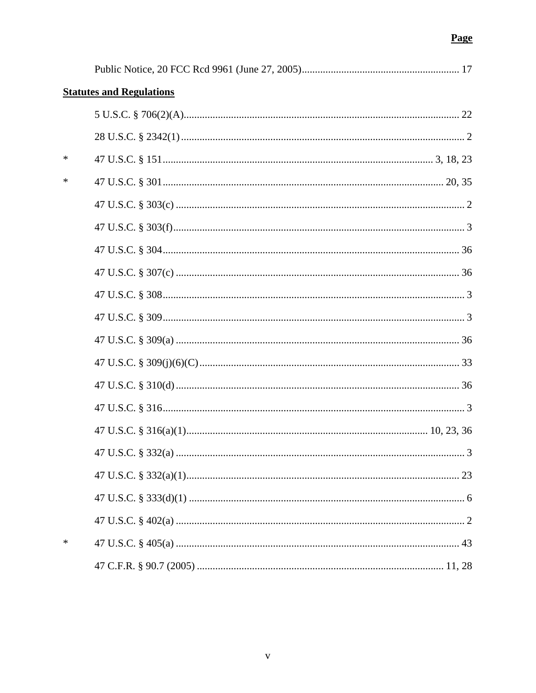|   | <b>Statutes and Regulations</b> |   |
|---|---------------------------------|---|
|   |                                 |   |
|   |                                 |   |
| * |                                 |   |
| ∗ |                                 |   |
|   |                                 |   |
|   |                                 |   |
|   |                                 |   |
|   |                                 |   |
|   |                                 |   |
|   |                                 |   |
|   |                                 |   |
|   |                                 |   |
|   |                                 |   |
|   |                                 |   |
|   |                                 |   |
|   |                                 | 3 |
|   |                                 |   |
|   |                                 |   |
|   |                                 |   |
| ∗ |                                 |   |
|   |                                 |   |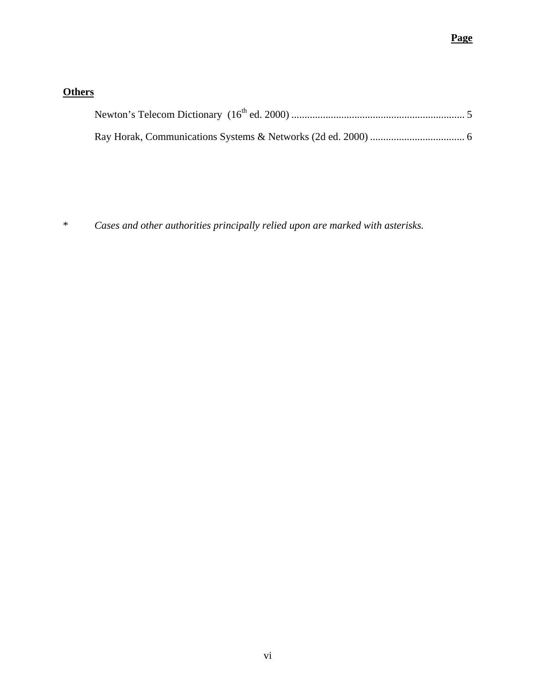# **Others**

\* *Cases and other authorities principally relied upon are marked with asterisks.*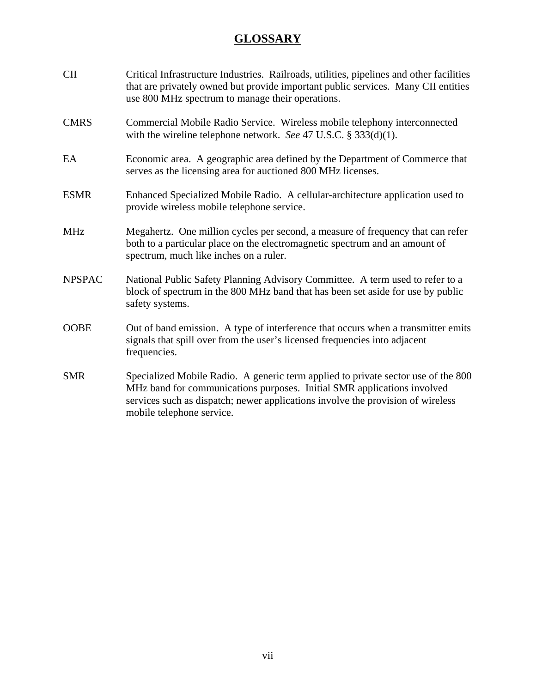# **GLOSSARY**

| <b>CII</b>    | Critical Infrastructure Industries. Railroads, utilities, pipelines and other facilities<br>that are privately owned but provide important public services. Many CII entities<br>use 800 MHz spectrum to manage their operations.                                            |
|---------------|------------------------------------------------------------------------------------------------------------------------------------------------------------------------------------------------------------------------------------------------------------------------------|
| <b>CMRS</b>   | Commercial Mobile Radio Service. Wireless mobile telephony interconnected<br>with the wireline telephone network. See 47 U.S.C. $\S 333(d)(1)$ .                                                                                                                             |
| EA            | Economic area. A geographic area defined by the Department of Commerce that<br>serves as the licensing area for auctioned 800 MHz licenses.                                                                                                                                  |
| <b>ESMR</b>   | Enhanced Specialized Mobile Radio. A cellular-architecture application used to<br>provide wireless mobile telephone service.                                                                                                                                                 |
| <b>MHz</b>    | Megahertz. One million cycles per second, a measure of frequency that can refer<br>both to a particular place on the electromagnetic spectrum and an amount of<br>spectrum, much like inches on a ruler.                                                                     |
| <b>NPSPAC</b> | National Public Safety Planning Advisory Committee. A term used to refer to a<br>block of spectrum in the 800 MHz band that has been set aside for use by public<br>safety systems.                                                                                          |
| <b>OOBE</b>   | Out of band emission. A type of interference that occurs when a transmitter emits<br>signals that spill over from the user's licensed frequencies into adjacent<br>frequencies.                                                                                              |
| <b>SMR</b>    | Specialized Mobile Radio. A generic term applied to private sector use of the 800<br>MHz band for communications purposes. Initial SMR applications involved<br>services such as dispatch; newer applications involve the provision of wireless<br>mobile telephone service. |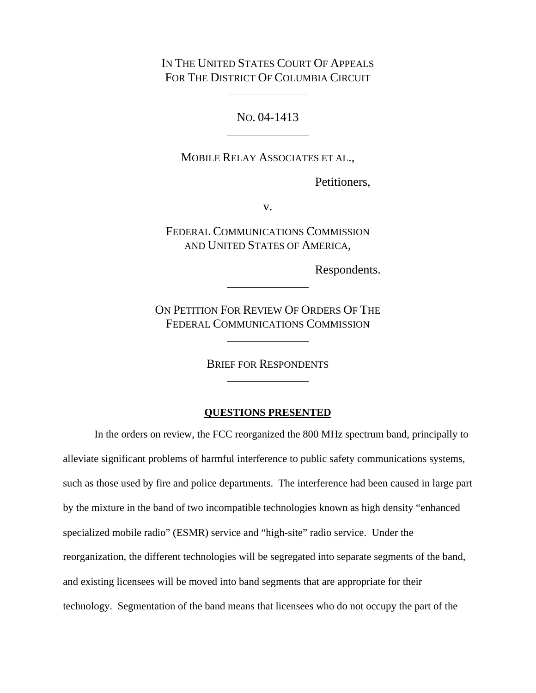IN THE UNITED STATES COURT OF APPEALS FOR THE DISTRICT OF COLUMBIA CIRCUIT

NO. 04-1413

MOBILE RELAY ASSOCIATES ET AL.,

Petitioners,

v.

FEDERAL COMMUNICATIONS COMMISSION AND UNITED STATES OF AMERICA,

Respondents.

ON PETITION FOR REVIEW OF ORDERS OF THE FEDERAL COMMUNICATIONS COMMISSION

BRIEF FOR RESPONDENTS

#### **QUESTIONS PRESENTED**

In the orders on review, the FCC reorganized the 800 MHz spectrum band, principally to alleviate significant problems of harmful interference to public safety communications systems, such as those used by fire and police departments. The interference had been caused in large part by the mixture in the band of two incompatible technologies known as high density "enhanced specialized mobile radio" (ESMR) service and "high-site" radio service. Under the reorganization, the different technologies will be segregated into separate segments of the band, and existing licensees will be moved into band segments that are appropriate for their technology. Segmentation of the band means that licensees who do not occupy the part of the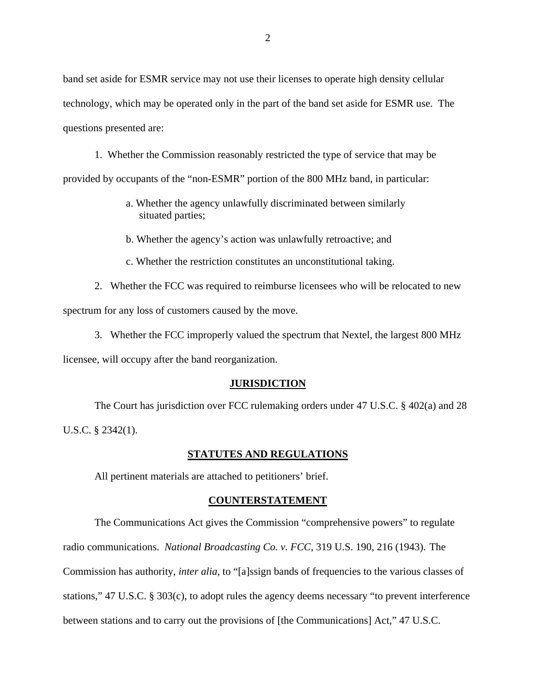band set aside for ESMR service may not use their licenses to operate high density cellular technology, which may be operated only in the part of the band set aside for ESMR use. The questions presented are:

1. Whether the Commission reasonably restricted the type of service that may be provided by occupants of the "non-ESMR" portion of the 800 MHz band, in particular:

- a. Whether the agency unlawfully discriminated between similarly situated parties;
- b. Whether the agency's action was unlawfully retroactive; and
- c. Whether the restriction constitutes an unconstitutional taking.

2. Whether the FCC was required to reimburse licensees who will be relocated to new spectrum for any loss of customers caused by the move.

3. Whether the FCC improperly valued the spectrum that Nextel, the largest 800 MHz

licensee, will occupy after the band reorganization.

#### **JURISDICTION**

The Court has jurisdiction over FCC rulemaking orders under 47 U.S.C. § 402(a) and 28 U.S.C. § 2342(1).

#### **STATUTES AND REGULATIONS**

All pertinent materials are attached to petitioners' brief.

#### **COUNTERSTATEMENT**

The Communications Act gives the Commission "comprehensive powers" to regulate radio communications. *National Broadcasting Co. v. FCC*, 319 U.S. 190, 216 (1943). The Commission has authority, *inter alia*, to "[a]ssign bands of frequencies to the various classes of stations," 47 U.S.C. § 303(c), to adopt rules the agency deems necessary "to prevent interference between stations and to carry out the provisions of [the Communications] Act," 47 U.S.C.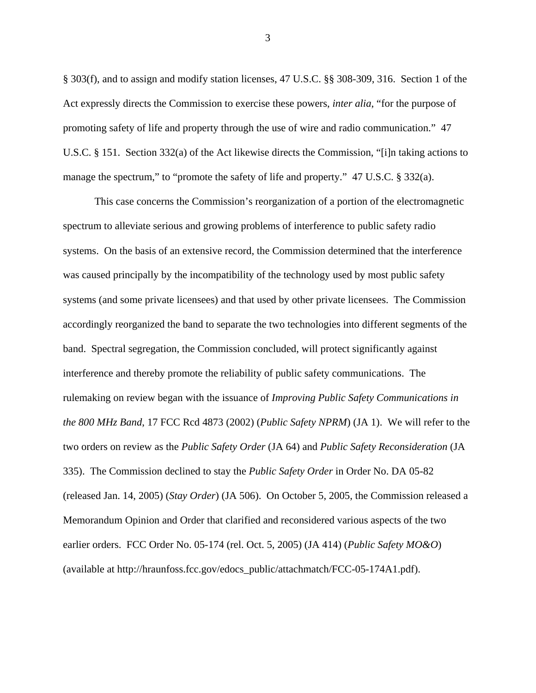§ 303(f), and to assign and modify station licenses, 47 U.S.C. §§ 308-309, 316. Section 1 of the Act expressly directs the Commission to exercise these powers, *inter alia*, "for the purpose of promoting safety of life and property through the use of wire and radio communication." 47 U.S.C. § 151. Section 332(a) of the Act likewise directs the Commission, "[i]n taking actions to manage the spectrum," to "promote the safety of life and property." 47 U.S.C. § 332(a).

This case concerns the Commission's reorganization of a portion of the electromagnetic spectrum to alleviate serious and growing problems of interference to public safety radio systems. On the basis of an extensive record, the Commission determined that the interference was caused principally by the incompatibility of the technology used by most public safety systems (and some private licensees) and that used by other private licensees. The Commission accordingly reorganized the band to separate the two technologies into different segments of the band. Spectral segregation, the Commission concluded, will protect significantly against interference and thereby promote the reliability of public safety communications. The rulemaking on review began with the issuance of *Improving Public Safety Communications in the 800 MHz Band*, 17 FCC Rcd 4873 (2002) (*Public Safety NPRM*) (JA 1). We will refer to the two orders on review as the *Public Safety Order* (JA 64) and *Public Safety Reconsideration* (JA 335). The Commission declined to stay the *Public Safety Order* in Order No. DA 05-82 (released Jan. 14, 2005) (*Stay Order*) (JA 506). On October 5, 2005, the Commission released a Memorandum Opinion and Order that clarified and reconsidered various aspects of the two earlier orders. FCC Order No. 05-174 (rel. Oct. 5, 2005) (JA 414) (*Public Safety MO&O*) (available at http://hraunfoss.fcc.gov/edocs\_public/attachmatch/FCC-05-174A1.pdf).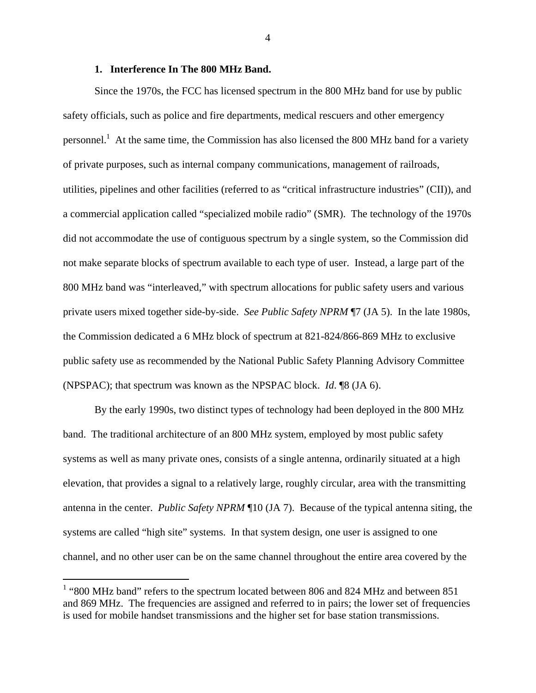### **1. Interference In The 800 MHz Band.**

Since the 1970s, the FCC has licensed spectrum in the 800 MHz band for use by public safety officials, such as police and fire departments, medical rescuers and other emergency personnel.<sup>1</sup> At the same time, the Commission has also licensed the 800 MHz band for a variety of private purposes, such as internal company communications, management of railroads, utilities, pipelines and other facilities (referred to as "critical infrastructure industries" (CII)), and a commercial application called "specialized mobile radio" (SMR). The technology of the 1970s did not accommodate the use of contiguous spectrum by a single system, so the Commission did not make separate blocks of spectrum available to each type of user. Instead, a large part of the 800 MHz band was "interleaved," with spectrum allocations for public safety users and various private users mixed together side-by-side. *See Public Safety NPRM* ¶7 (JA 5). In the late 1980s, the Commission dedicated a 6 MHz block of spectrum at 821-824/866-869 MHz to exclusive public safety use as recommended by the National Public Safety Planning Advisory Committee (NPSPAC); that spectrum was known as the NPSPAC block. *Id*. ¶8 (JA 6).

By the early 1990s, two distinct types of technology had been deployed in the 800 MHz band. The traditional architecture of an 800 MHz system, employed by most public safety systems as well as many private ones, consists of a single antenna, ordinarily situated at a high elevation, that provides a signal to a relatively large, roughly circular, area with the transmitting antenna in the center. *Public Safety NPRM* ¶10 (JA 7). Because of the typical antenna siting, the systems are called "high site" systems. In that system design, one user is assigned to one channel, and no other user can be on the same channel throughout the entire area covered by the

 $\overline{a}$ 

<sup>&</sup>lt;sup>1</sup> "800 MHz band" refers to the spectrum located between 806 and 824 MHz and between 851 and 869 MHz. The frequencies are assigned and referred to in pairs; the lower set of frequencies is used for mobile handset transmissions and the higher set for base station transmissions.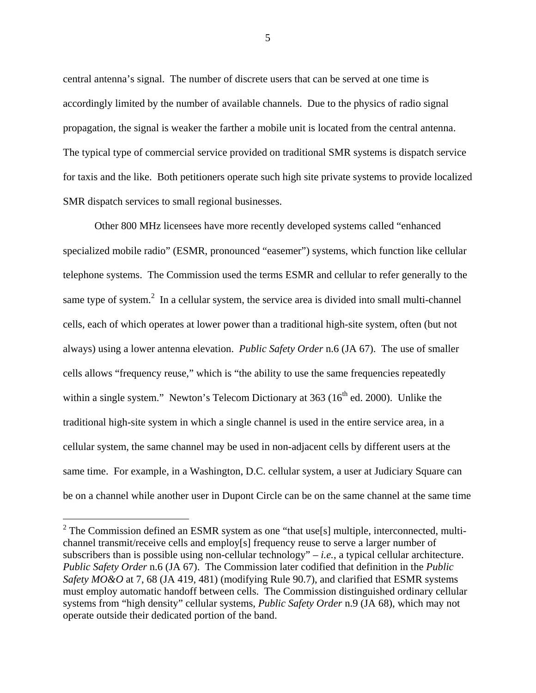central antenna's signal. The number of discrete users that can be served at one time is accordingly limited by the number of available channels. Due to the physics of radio signal propagation, the signal is weaker the farther a mobile unit is located from the central antenna. The typical type of commercial service provided on traditional SMR systems is dispatch service for taxis and the like. Both petitioners operate such high site private systems to provide localized SMR dispatch services to small regional businesses.

Other 800 MHz licensees have more recently developed systems called "enhanced specialized mobile radio" (ESMR, pronounced "easemer") systems, which function like cellular telephone systems. The Commission used the terms ESMR and cellular to refer generally to the same type of system. $<sup>2</sup>$  In a cellular system, the service area is divided into small multi-channel</sup> cells, each of which operates at lower power than a traditional high-site system, often (but not always) using a lower antenna elevation. *Public Safety Order* n.6 (JA 67). The use of smaller cells allows "frequency reuse," which is "the ability to use the same frequencies repeatedly within a single system." Newton's Telecom Dictionary at  $363$  ( $16<sup>th</sup>$  ed. 2000). Unlike the traditional high-site system in which a single channel is used in the entire service area, in a cellular system, the same channel may be used in non-adjacent cells by different users at the same time. For example, in a Washington, D.C. cellular system, a user at Judiciary Square can be on a channel while another user in Dupont Circle can be on the same channel at the same time

 $\overline{a}$ 

 $2^2$  The Commission defined an ESMR system as one "that use[s] multiple, interconnected, multichannel transmit/receive cells and employ[s] frequency reuse to serve a larger number of subscribers than is possible using non-cellular technology" – *i.e.*, a typical cellular architecture. *Public Safety Order* n.6 (JA 67). The Commission later codified that definition in the *Public Safety MO&O* at 7, 68 (JA 419, 481) (modifying Rule 90.7), and clarified that ESMR systems must employ automatic handoff between cells. The Commission distinguished ordinary cellular systems from "high density" cellular systems, *Public Safety Order* n.9 (JA 68), which may not operate outside their dedicated portion of the band.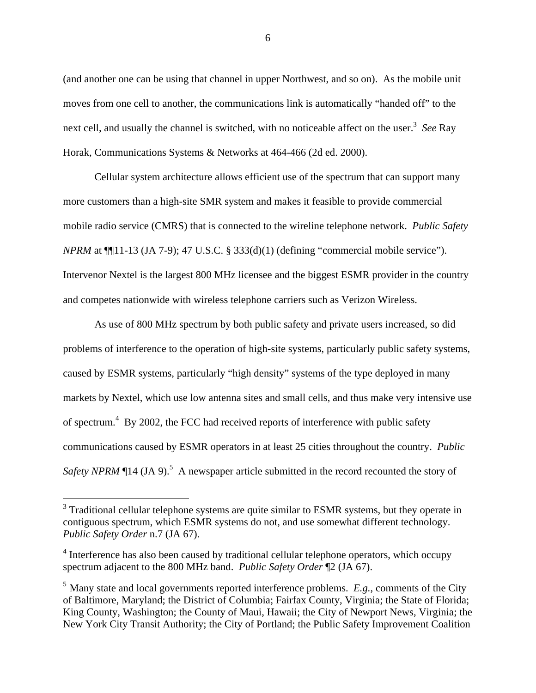(and another one can be using that channel in upper Northwest, and so on). As the mobile unit moves from one cell to another, the communications link is automatically "handed off" to the next cell, and usually the channel is switched, with no noticeable affect on the user.<sup>3</sup> See Ray Horak, Communications Systems & Networks at 464-466 (2d ed. 2000).

Cellular system architecture allows efficient use of the spectrum that can support many more customers than a high-site SMR system and makes it feasible to provide commercial mobile radio service (CMRS) that is connected to the wireline telephone network. *Public Safety NPRM* at ¶¶11-13 (JA 7-9); 47 U.S.C. § 333(d)(1) (defining "commercial mobile service"). Intervenor Nextel is the largest 800 MHz licensee and the biggest ESMR provider in the country and competes nationwide with wireless telephone carriers such as Verizon Wireless.

As use of 800 MHz spectrum by both public safety and private users increased, so did problems of interference to the operation of high-site systems, particularly public safety systems, caused by ESMR systems, particularly "high density" systems of the type deployed in many markets by Nextel, which use low antenna sites and small cells, and thus make very intensive use of spectrum.<sup>4</sup> By 2002, the FCC had received reports of interference with public safety communications caused by ESMR operators in at least 25 cities throughout the country. *Public*  Safety NPRM (14 (JA 9).<sup>5</sup> A newspaper article submitted in the record recounted the story of

 $\overline{a}$ 

 $3$  Traditional cellular telephone systems are quite similar to ESMR systems, but they operate in contiguous spectrum, which ESMR systems do not, and use somewhat different technology. *Public Safety Order* n.7 (JA 67).

<sup>&</sup>lt;sup>4</sup> Interference has also been caused by traditional cellular telephone operators, which occupy spectrum adjacent to the 800 MHz band. *Public Safety Order* ¶2 (JA 67).

<sup>5</sup> Many state and local governments reported interference problems. *E.g.*, comments of the City of Baltimore, Maryland; the District of Columbia; Fairfax County, Virginia; the State of Florida; King County, Washington; the County of Maui, Hawaii; the City of Newport News, Virginia; the New York City Transit Authority; the City of Portland; the Public Safety Improvement Coalition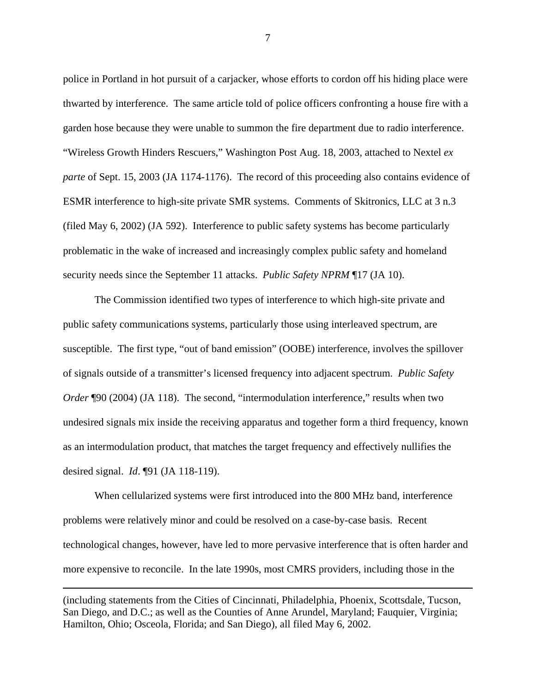police in Portland in hot pursuit of a carjacker, whose efforts to cordon off his hiding place were thwarted by interference. The same article told of police officers confronting a house fire with a garden hose because they were unable to summon the fire department due to radio interference. "Wireless Growth Hinders Rescuers," Washington Post Aug. 18, 2003, attached to Nextel *ex parte* of Sept. 15, 2003 (JA 1174-1176). The record of this proceeding also contains evidence of ESMR interference to high-site private SMR systems. Comments of Skitronics, LLC at 3 n.3 (filed May 6, 2002) (JA 592). Interference to public safety systems has become particularly problematic in the wake of increased and increasingly complex public safety and homeland security needs since the September 11 attacks. *Public Safety NPRM* ¶17 (JA 10).

The Commission identified two types of interference to which high-site private and public safety communications systems, particularly those using interleaved spectrum, are susceptible. The first type, "out of band emission" (OOBE) interference, involves the spillover of signals outside of a transmitter's licensed frequency into adjacent spectrum. *Public Safety Order* ¶90 (2004) (JA 118). The second, "intermodulation interference," results when two undesired signals mix inside the receiving apparatus and together form a third frequency, known as an intermodulation product, that matches the target frequency and effectively nullifies the desired signal. *Id*. ¶91 (JA 118-119).

When cellularized systems were first introduced into the 800 MHz band, interference problems were relatively minor and could be resolved on a case-by-case basis. Recent technological changes, however, have led to more pervasive interference that is often harder and more expensive to reconcile. In the late 1990s, most CMRS providers, including those in the

(including statements from the Cities of Cincinnati, Philadelphia, Phoenix, Scottsdale, Tucson, San Diego, and D.C.; as well as the Counties of Anne Arundel, Maryland; Fauquier, Virginia; Hamilton, Ohio; Osceola, Florida; and San Diego), all filed May 6, 2002.

 $\overline{a}$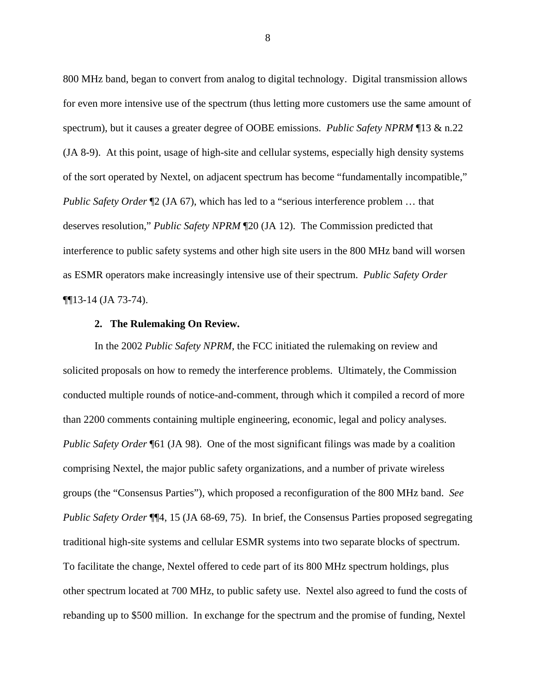800 MHz band, began to convert from analog to digital technology. Digital transmission allows for even more intensive use of the spectrum (thus letting more customers use the same amount of spectrum), but it causes a greater degree of OOBE emissions. *Public Safety NPRM* ¶13 & n.22 (JA 8-9). At this point, usage of high-site and cellular systems, especially high density systems of the sort operated by Nextel, on adjacent spectrum has become "fundamentally incompatible," *Public Safety Order*  $\mathbb{I}2$  (JA 67), which has led to a "serious interference problem ... that deserves resolution," *Public Safety NPRM* ¶20 (JA 12). The Commission predicted that interference to public safety systems and other high site users in the 800 MHz band will worsen as ESMR operators make increasingly intensive use of their spectrum. *Public Safety Order* ¶¶13-14 (JA 73-74).

#### **2. The Rulemaking On Review.**

In the 2002 *Public Safety NPRM*, the FCC initiated the rulemaking on review and solicited proposals on how to remedy the interference problems. Ultimately, the Commission conducted multiple rounds of notice-and-comment, through which it compiled a record of more than 2200 comments containing multiple engineering, economic, legal and policy analyses. *Public Safety Order* ¶61 (JA 98). One of the most significant filings was made by a coalition comprising Nextel, the major public safety organizations, and a number of private wireless groups (the "Consensus Parties"), which proposed a reconfiguration of the 800 MHz band. *See Public Safety Order* ¶[4, 15 (JA 68-69, 75). In brief, the Consensus Parties proposed segregating traditional high-site systems and cellular ESMR systems into two separate blocks of spectrum. To facilitate the change, Nextel offered to cede part of its 800 MHz spectrum holdings, plus other spectrum located at 700 MHz, to public safety use. Nextel also agreed to fund the costs of rebanding up to \$500 million. In exchange for the spectrum and the promise of funding, Nextel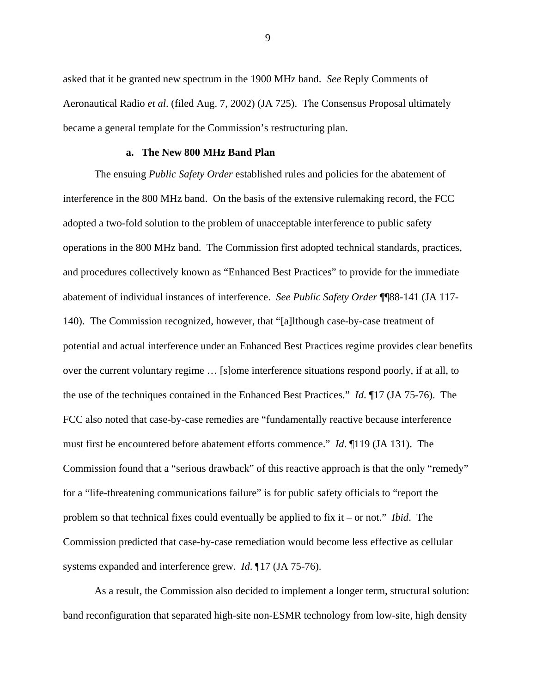asked that it be granted new spectrum in the 1900 MHz band. *See* Reply Comments of Aeronautical Radio *et al*. (filed Aug. 7, 2002) (JA 725). The Consensus Proposal ultimately became a general template for the Commission's restructuring plan.

#### **a. The New 800 MHz Band Plan**

The ensuing *Public Safety Order* established rules and policies for the abatement of interference in the 800 MHz band. On the basis of the extensive rulemaking record, the FCC adopted a two-fold solution to the problem of unacceptable interference to public safety operations in the 800 MHz band. The Commission first adopted technical standards, practices, and procedures collectively known as "Enhanced Best Practices" to provide for the immediate abatement of individual instances of interference. *See Public Safety Order* ¶¶88-141 (JA 117- 140). The Commission recognized, however, that "[a]lthough case-by-case treatment of potential and actual interference under an Enhanced Best Practices regime provides clear benefits over the current voluntary regime … [s]ome interference situations respond poorly, if at all, to the use of the techniques contained in the Enhanced Best Practices." *Id*. ¶17 (JA 75-76). The FCC also noted that case-by-case remedies are "fundamentally reactive because interference must first be encountered before abatement efforts commence." *Id*. ¶119 (JA 131). The Commission found that a "serious drawback" of this reactive approach is that the only "remedy" for a "life-threatening communications failure" is for public safety officials to "report the problem so that technical fixes could eventually be applied to fix it – or not." *Ibid*. The Commission predicted that case-by-case remediation would become less effective as cellular systems expanded and interference grew. *Id*. ¶17 (JA 75-76).

As a result, the Commission also decided to implement a longer term, structural solution: band reconfiguration that separated high-site non-ESMR technology from low-site, high density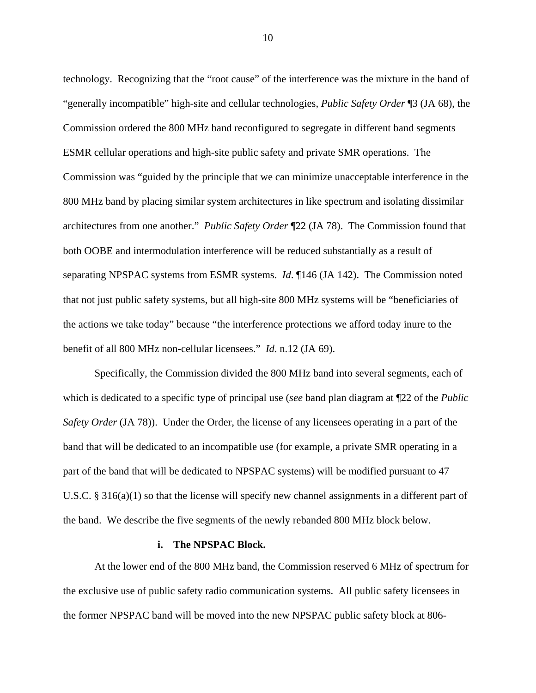technology. Recognizing that the "root cause" of the interference was the mixture in the band of "generally incompatible" high-site and cellular technologies, *Public Safety Order* ¶3 (JA 68), the Commission ordered the 800 MHz band reconfigured to segregate in different band segments ESMR cellular operations and high-site public safety and private SMR operations. The Commission was "guided by the principle that we can minimize unacceptable interference in the 800 MHz band by placing similar system architectures in like spectrum and isolating dissimilar architectures from one another." *Public Safety Order* ¶22 (JA 78). The Commission found that both OOBE and intermodulation interference will be reduced substantially as a result of separating NPSPAC systems from ESMR systems. *Id*. ¶146 (JA 142). The Commission noted that not just public safety systems, but all high-site 800 MHz systems will be "beneficiaries of the actions we take today" because "the interference protections we afford today inure to the benefit of all 800 MHz non-cellular licensees." *Id*. n.12 (JA 69).

Specifically, the Commission divided the 800 MHz band into several segments, each of which is dedicated to a specific type of principal use (*see* band plan diagram at ¶22 of the *Public Safety Order* (JA 78)). Under the Order, the license of any licensees operating in a part of the band that will be dedicated to an incompatible use (for example, a private SMR operating in a part of the band that will be dedicated to NPSPAC systems) will be modified pursuant to 47 U.S.C. § 316(a)(1) so that the license will specify new channel assignments in a different part of the band. We describe the five segments of the newly rebanded 800 MHz block below.

#### **i. The NPSPAC Block.**

At the lower end of the 800 MHz band, the Commission reserved 6 MHz of spectrum for the exclusive use of public safety radio communication systems. All public safety licensees in the former NPSPAC band will be moved into the new NPSPAC public safety block at 806-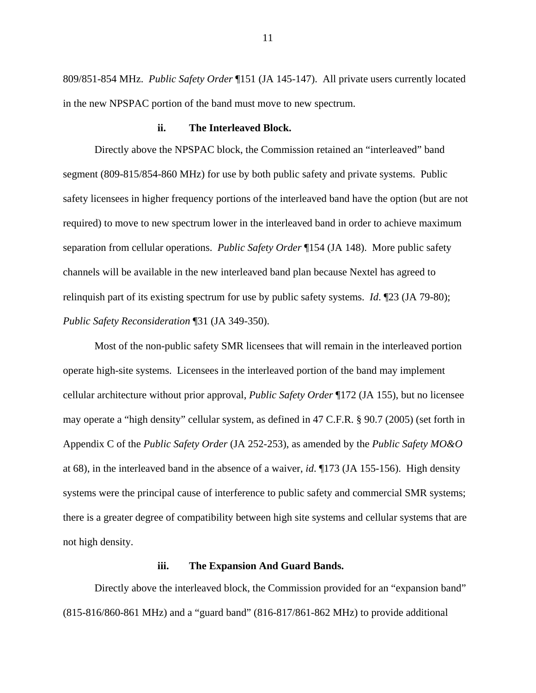809/851-854 MHz. *Public Safety Order* ¶151 (JA 145-147). All private users currently located in the new NPSPAC portion of the band must move to new spectrum.

#### **ii. The Interleaved Block.**

Directly above the NPSPAC block, the Commission retained an "interleaved" band segment (809-815/854-860 MHz) for use by both public safety and private systems. Public safety licensees in higher frequency portions of the interleaved band have the option (but are not required) to move to new spectrum lower in the interleaved band in order to achieve maximum separation from cellular operations. *Public Safety Order* ¶154 (JA 148). More public safety channels will be available in the new interleaved band plan because Nextel has agreed to relinquish part of its existing spectrum for use by public safety systems. *Id*. ¶23 (JA 79-80); *Public Safety Reconsideration* ¶31 (JA 349-350).

Most of the non-public safety SMR licensees that will remain in the interleaved portion operate high-site systems. Licensees in the interleaved portion of the band may implement cellular architecture without prior approval, *Public Safety Order* ¶172 (JA 155), but no licensee may operate a "high density" cellular system, as defined in 47 C.F.R. § 90.7 (2005) (set forth in Appendix C of the *Public Safety Order* (JA 252-253), as amended by the *Public Safety MO&O* at 68), in the interleaved band in the absence of a waiver, *id*. ¶173 (JA 155-156). High density systems were the principal cause of interference to public safety and commercial SMR systems; there is a greater degree of compatibility between high site systems and cellular systems that are not high density.

#### **iii. The Expansion And Guard Bands.**

Directly above the interleaved block, the Commission provided for an "expansion band" (815-816/860-861 MHz) and a "guard band" (816-817/861-862 MHz) to provide additional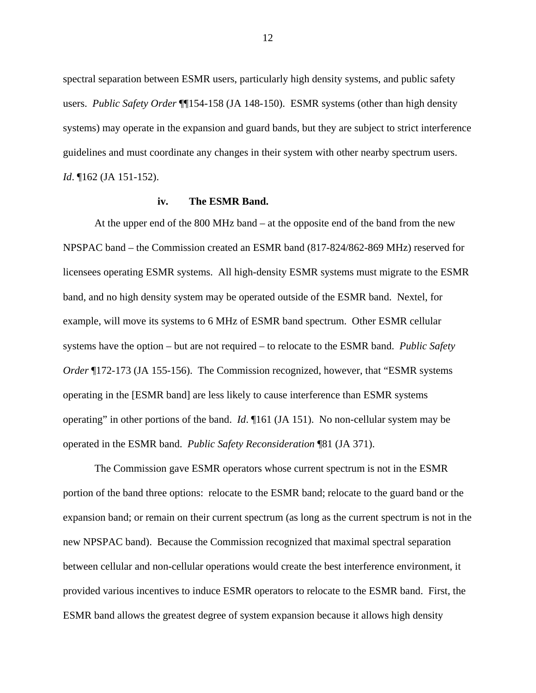spectral separation between ESMR users, particularly high density systems, and public safety users. *Public Safety Order* ¶¶154-158 (JA 148-150). ESMR systems (other than high density systems) may operate in the expansion and guard bands, but they are subject to strict interference guidelines and must coordinate any changes in their system with other nearby spectrum users. *Id*. ¶162 (JA 151-152).

#### **iv. The ESMR Band.**

At the upper end of the 800 MHz band – at the opposite end of the band from the new NPSPAC band – the Commission created an ESMR band (817-824/862-869 MHz) reserved for licensees operating ESMR systems. All high-density ESMR systems must migrate to the ESMR band, and no high density system may be operated outside of the ESMR band. Nextel, for example, will move its systems to 6 MHz of ESMR band spectrum. Other ESMR cellular systems have the option – but are not required – to relocate to the ESMR band. *Public Safety Order* ¶172-173 (JA 155-156). The Commission recognized, however, that "ESMR systems operating in the [ESMR band] are less likely to cause interference than ESMR systems operating" in other portions of the band. *Id*. ¶161 (JA 151). No non-cellular system may be operated in the ESMR band. *Public Safety Reconsideration* ¶81 (JA 371).

The Commission gave ESMR operators whose current spectrum is not in the ESMR portion of the band three options: relocate to the ESMR band; relocate to the guard band or the expansion band; or remain on their current spectrum (as long as the current spectrum is not in the new NPSPAC band). Because the Commission recognized that maximal spectral separation between cellular and non-cellular operations would create the best interference environment, it provided various incentives to induce ESMR operators to relocate to the ESMR band. First, the ESMR band allows the greatest degree of system expansion because it allows high density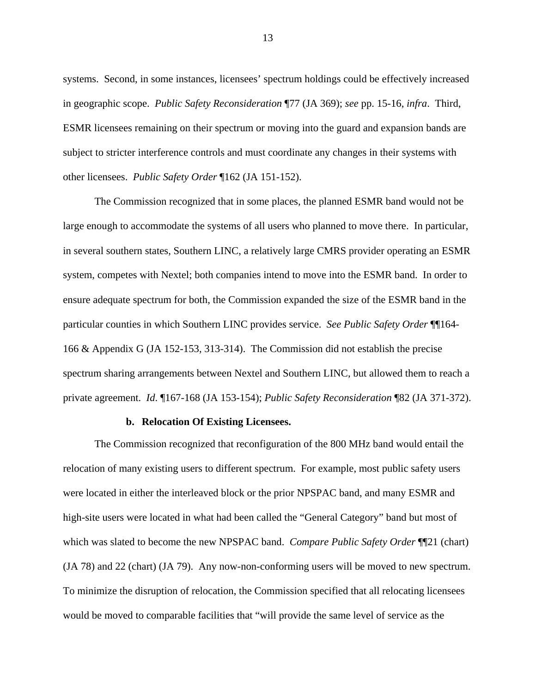systems. Second, in some instances, licensees' spectrum holdings could be effectively increased in geographic scope. *Public Safety Reconsideration* ¶77 (JA 369); *see* pp. 15-16, *infra*. Third, ESMR licensees remaining on their spectrum or moving into the guard and expansion bands are subject to stricter interference controls and must coordinate any changes in their systems with other licensees. *Public Safety Order* ¶162 (JA 151-152).

The Commission recognized that in some places, the planned ESMR band would not be large enough to accommodate the systems of all users who planned to move there. In particular, in several southern states, Southern LINC, a relatively large CMRS provider operating an ESMR system, competes with Nextel; both companies intend to move into the ESMR band. In order to ensure adequate spectrum for both, the Commission expanded the size of the ESMR band in the particular counties in which Southern LINC provides service. *See Public Safety Order* ¶¶164- 166 & Appendix G (JA 152-153, 313-314). The Commission did not establish the precise spectrum sharing arrangements between Nextel and Southern LINC, but allowed them to reach a private agreement. *Id*. ¶167-168 (JA 153-154); *Public Safety Reconsideration* ¶82 (JA 371-372).

#### **b. Relocation Of Existing Licensees.**

The Commission recognized that reconfiguration of the 800 MHz band would entail the relocation of many existing users to different spectrum. For example, most public safety users were located in either the interleaved block or the prior NPSPAC band, and many ESMR and high-site users were located in what had been called the "General Category" band but most of which was slated to become the new NPSPAC band. *Compare Public Safety Order* ¶¶21 (chart) (JA 78) and 22 (chart) (JA 79). Any now-non-conforming users will be moved to new spectrum. To minimize the disruption of relocation, the Commission specified that all relocating licensees would be moved to comparable facilities that "will provide the same level of service as the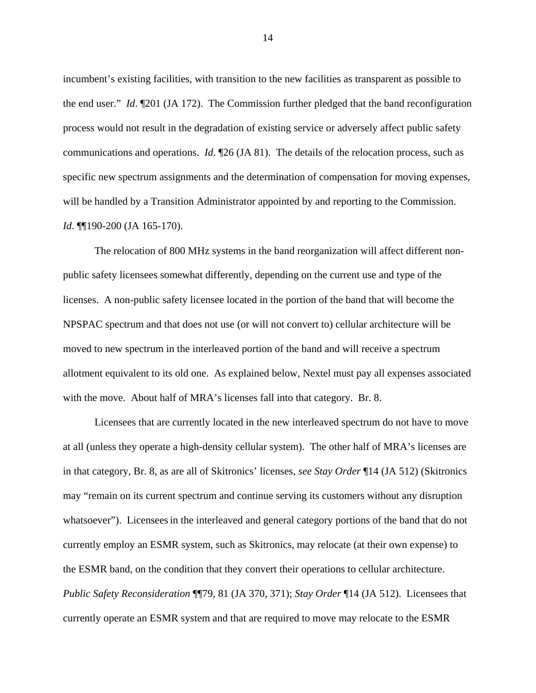incumbent's existing facilities, with transition to the new facilities as transparent as possible to the end user." *Id*. ¶201 (JA 172). The Commission further pledged that the band reconfiguration process would not result in the degradation of existing service or adversely affect public safety communications and operations. *Id*. ¶26 (JA 81). The details of the relocation process, such as specific new spectrum assignments and the determination of compensation for moving expenses, will be handled by a Transition Administrator appointed by and reporting to the Commission. *Id*. ¶¶190-200 (JA 165-170).

The relocation of 800 MHz systems in the band reorganization will affect different nonpublic safety licensees somewhat differently, depending on the current use and type of the licenses. A non-public safety licensee located in the portion of the band that will become the NPSPAC spectrum and that does not use (or will not convert to) cellular architecture will be moved to new spectrum in the interleaved portion of the band and will receive a spectrum allotment equivalent to its old one. As explained below, Nextel must pay all expenses associated with the move. About half of MRA's licenses fall into that category. Br. 8.

Licensees that are currently located in the new interleaved spectrum do not have to move at all (unless they operate a high-density cellular system). The other half of MRA's licenses are in that category, Br. 8, as are all of Skitronics' licenses, *see Stay Order* ¶14 (JA 512) (Skitronics may "remain on its current spectrum and continue serving its customers without any disruption whatsoever"). Licenseesin the interleaved and general category portions of the band that do not currently employ an ESMR system, such as Skitronics, may relocate (at their own expense) to the ESMR band, on the condition that they convert their operations to cellular architecture. *Public Safety Reconsideration* ¶¶79, 81 (JA 370, 371); *Stay Order* ¶14 (JA 512). Licensees that currently operate an ESMR system and that are required to move may relocate to the ESMR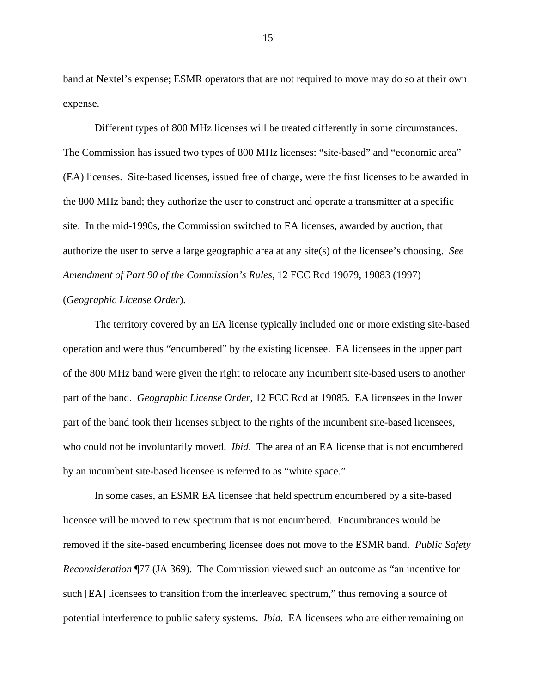band at Nextel's expense; ESMR operators that are not required to move may do so at their own expense.

Different types of 800 MHz licenses will be treated differently in some circumstances. The Commission has issued two types of 800 MHz licenses: "site-based" and "economic area" (EA) licenses. Site-based licenses, issued free of charge, were the first licenses to be awarded in the 800 MHz band; they authorize the user to construct and operate a transmitter at a specific site. In the mid-1990s, the Commission switched to EA licenses, awarded by auction, that authorize the user to serve a large geographic area at any site(s) of the licensee's choosing. *See Amendment of Part 90 of the Commission's Rules*, 12 FCC Rcd 19079, 19083 (1997)

## (*Geographic License Order*).

The territory covered by an EA license typically included one or more existing site-based operation and were thus "encumbered" by the existing licensee. EA licensees in the upper part of the 800 MHz band were given the right to relocate any incumbent site-based users to another part of the band. *Geographic License Order*, 12 FCC Rcd at 19085. EA licensees in the lower part of the band took their licenses subject to the rights of the incumbent site-based licensees, who could not be involuntarily moved. *Ibid*. The area of an EA license that is not encumbered by an incumbent site-based licensee is referred to as "white space."

In some cases, an ESMR EA licensee that held spectrum encumbered by a site-based licensee will be moved to new spectrum that is not encumbered. Encumbrances would be removed if the site-based encumbering licensee does not move to the ESMR band. *Public Safety Reconsideration* ¶77 (JA 369). The Commission viewed such an outcome as "an incentive for such [EA] licensees to transition from the interleaved spectrum," thus removing a source of potential interference to public safety systems. *Ibid*. EA licensees who are either remaining on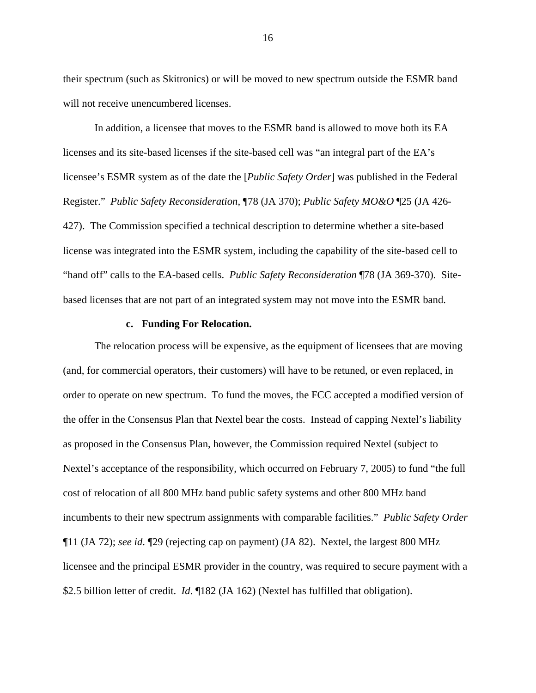their spectrum (such as Skitronics) or will be moved to new spectrum outside the ESMR band will not receive unencumbered licenses.

In addition, a licensee that moves to the ESMR band is allowed to move both its EA licenses and its site-based licenses if the site-based cell was "an integral part of the EA's licensee's ESMR system as of the date the [*Public Safety Order*] was published in the Federal Register." *Public Safety Reconsideration*, ¶78 (JA 370); *Public Safety MO&O* ¶25 (JA 426- 427). The Commission specified a technical description to determine whether a site-based license was integrated into the ESMR system, including the capability of the site-based cell to "hand off" calls to the EA-based cells. *Public Safety Reconsideration* ¶78 (JA 369-370). Sitebased licenses that are not part of an integrated system may not move into the ESMR band.

#### **c. Funding For Relocation.**

The relocation process will be expensive, as the equipment of licensees that are moving (and, for commercial operators, their customers) will have to be retuned, or even replaced, in order to operate on new spectrum. To fund the moves, the FCC accepted a modified version of the offer in the Consensus Plan that Nextel bear the costs. Instead of capping Nextel's liability as proposed in the Consensus Plan, however, the Commission required Nextel (subject to Nextel's acceptance of the responsibility, which occurred on February 7, 2005) to fund "the full cost of relocation of all 800 MHz band public safety systems and other 800 MHz band incumbents to their new spectrum assignments with comparable facilities." *Public Safety Order* ¶11 (JA 72); *see id*. ¶29 (rejecting cap on payment) (JA 82). Nextel, the largest 800 MHz licensee and the principal ESMR provider in the country, was required to secure payment with a \$2.5 billion letter of credit. *Id*. ¶182 (JA 162) (Nextel has fulfilled that obligation).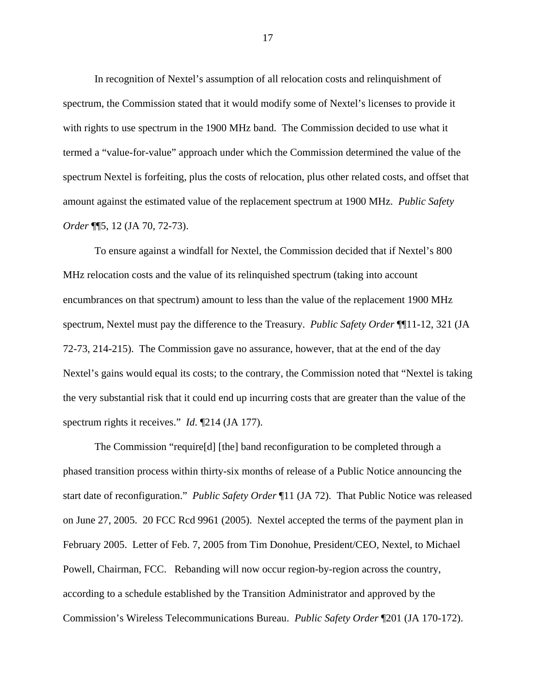In recognition of Nextel's assumption of all relocation costs and relinquishment of spectrum, the Commission stated that it would modify some of Nextel's licenses to provide it with rights to use spectrum in the 1900 MHz band. The Commission decided to use what it termed a "value-for-value" approach under which the Commission determined the value of the spectrum Nextel is forfeiting, plus the costs of relocation, plus other related costs, and offset that amount against the estimated value of the replacement spectrum at 1900 MHz. *Public Safety Order* ¶¶5, 12 (JA 70, 72-73).

To ensure against a windfall for Nextel, the Commission decided that if Nextel's 800 MHz relocation costs and the value of its relinquished spectrum (taking into account encumbrances on that spectrum) amount to less than the value of the replacement 1900 MHz spectrum, Nextel must pay the difference to the Treasury. *Public Safety Order* ¶¶11-12, 321 (JA 72-73, 214-215). The Commission gave no assurance, however, that at the end of the day Nextel's gains would equal its costs; to the contrary, the Commission noted that "Nextel is taking the very substantial risk that it could end up incurring costs that are greater than the value of the spectrum rights it receives." *Id*. ¶214 (JA 177).

The Commission "require[d] [the] band reconfiguration to be completed through a phased transition process within thirty-six months of release of a Public Notice announcing the start date of reconfiguration." *Public Safety Order* ¶11 (JA 72). That Public Notice was released on June 27, 2005. 20 FCC Rcd 9961 (2005). Nextel accepted the terms of the payment plan in February 2005. Letter of Feb. 7, 2005 from Tim Donohue, President/CEO, Nextel, to Michael Powell, Chairman, FCC. Rebanding will now occur region-by-region across the country, according to a schedule established by the Transition Administrator and approved by the Commission's Wireless Telecommunications Bureau. *Public Safety Order* ¶201 (JA 170-172).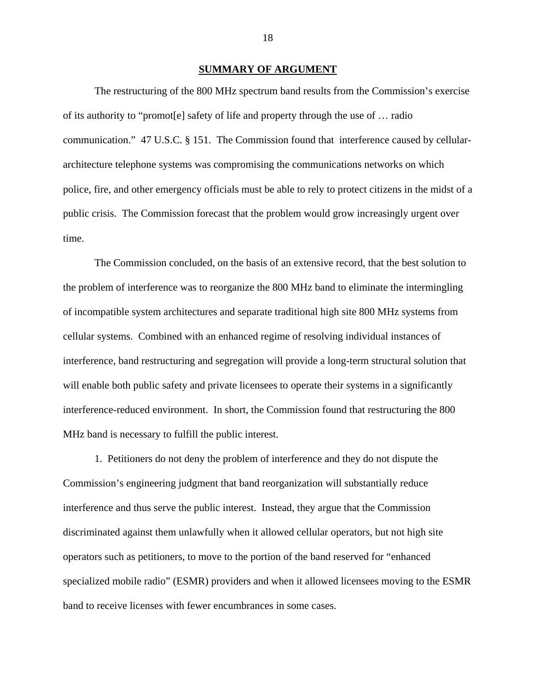#### **SUMMARY OF ARGUMENT**

The restructuring of the 800 MHz spectrum band results from the Commission's exercise of its authority to "promot[e] safety of life and property through the use of … radio communication." 47 U.S.C. § 151. The Commission found that interference caused by cellulararchitecture telephone systems was compromising the communications networks on which police, fire, and other emergency officials must be able to rely to protect citizens in the midst of a public crisis. The Commission forecast that the problem would grow increasingly urgent over time.

The Commission concluded, on the basis of an extensive record, that the best solution to the problem of interference was to reorganize the 800 MHz band to eliminate the intermingling of incompatible system architectures and separate traditional high site 800 MHz systems from cellular systems. Combined with an enhanced regime of resolving individual instances of interference, band restructuring and segregation will provide a long-term structural solution that will enable both public safety and private licensees to operate their systems in a significantly interference-reduced environment. In short, the Commission found that restructuring the 800 MHz band is necessary to fulfill the public interest.

1. Petitioners do not deny the problem of interference and they do not dispute the Commission's engineering judgment that band reorganization will substantially reduce interference and thus serve the public interest. Instead, they argue that the Commission discriminated against them unlawfully when it allowed cellular operators, but not high site operators such as petitioners, to move to the portion of the band reserved for "enhanced specialized mobile radio" (ESMR) providers and when it allowed licensees moving to the ESMR band to receive licenses with fewer encumbrances in some cases.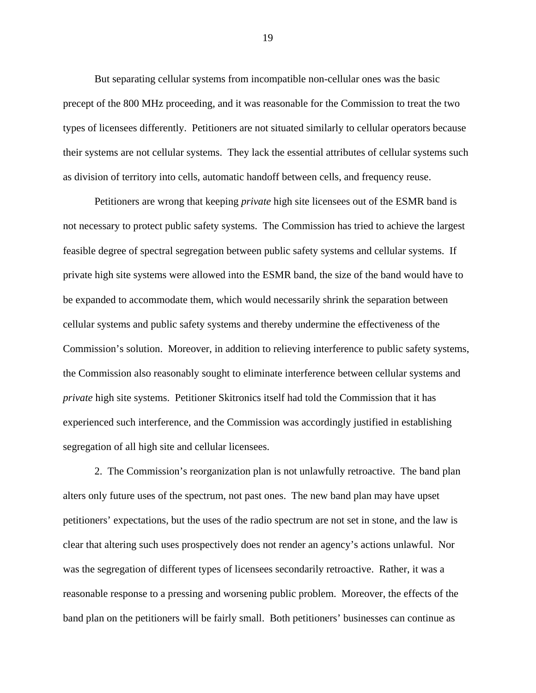But separating cellular systems from incompatible non-cellular ones was the basic precept of the 800 MHz proceeding, and it was reasonable for the Commission to treat the two types of licensees differently. Petitioners are not situated similarly to cellular operators because their systems are not cellular systems. They lack the essential attributes of cellular systems such as division of territory into cells, automatic handoff between cells, and frequency reuse.

Petitioners are wrong that keeping *private* high site licensees out of the ESMR band is not necessary to protect public safety systems. The Commission has tried to achieve the largest feasible degree of spectral segregation between public safety systems and cellular systems. If private high site systems were allowed into the ESMR band, the size of the band would have to be expanded to accommodate them, which would necessarily shrink the separation between cellular systems and public safety systems and thereby undermine the effectiveness of the Commission's solution. Moreover, in addition to relieving interference to public safety systems, the Commission also reasonably sought to eliminate interference between cellular systems and *private* high site systems. Petitioner Skitronics itself had told the Commission that it has experienced such interference, and the Commission was accordingly justified in establishing segregation of all high site and cellular licensees.

2. The Commission's reorganization plan is not unlawfully retroactive. The band plan alters only future uses of the spectrum, not past ones. The new band plan may have upset petitioners' expectations, but the uses of the radio spectrum are not set in stone, and the law is clear that altering such uses prospectively does not render an agency's actions unlawful. Nor was the segregation of different types of licensees secondarily retroactive. Rather, it was a reasonable response to a pressing and worsening public problem. Moreover, the effects of the band plan on the petitioners will be fairly small. Both petitioners' businesses can continue as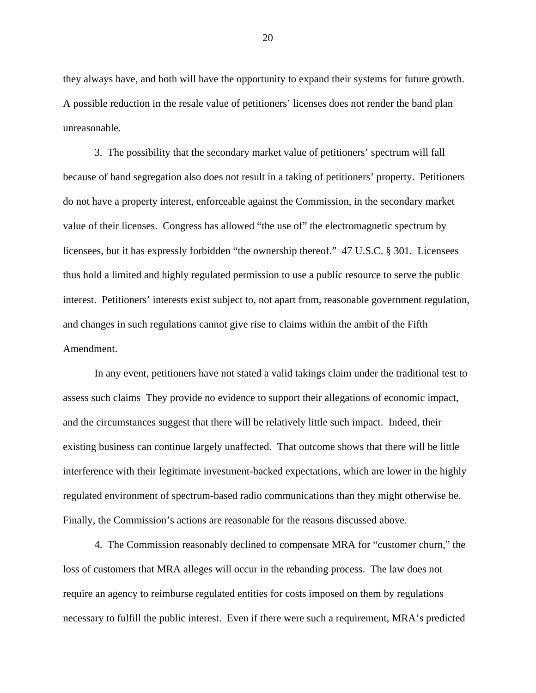they always have, and both will have the opportunity to expand their systems for future growth. A possible reduction in the resale value of petitioners' licenses does not render the band plan unreasonable.

3. The possibility that the secondary market value of petitioners' spectrum will fall because of band segregation also does not result in a taking of petitioners' property. Petitioners do not have a property interest, enforceable against the Commission, in the secondary market value of their licenses. Congress has allowed "the use of" the electromagnetic spectrum by licensees, but it has expressly forbidden "the ownership thereof." 47 U.S.C. § 301. Licensees thus hold a limited and highly regulated permission to use a public resource to serve the public interest. Petitioners' interests exist subject to, not apart from, reasonable government regulation, and changes in such regulations cannot give rise to claims within the ambit of the Fifth Amendment.

In any event, petitioners have not stated a valid takings claim under the traditional test to assess such claims They provide no evidence to support their allegations of economic impact, and the circumstances suggest that there will be relatively little such impact. Indeed, their existing business can continue largely unaffected. That outcome shows that there will be little interference with their legitimate investment-backed expectations, which are lower in the highly regulated environment of spectrum-based radio communications than they might otherwise be. Finally, the Commission's actions are reasonable for the reasons discussed above.

4. The Commission reasonably declined to compensate MRA for "customer churn," the loss of customers that MRA alleges will occur in the rebanding process. The law does not require an agency to reimburse regulated entities for costs imposed on them by regulations necessary to fulfill the public interest. Even if there were such a requirement, MRA's predicted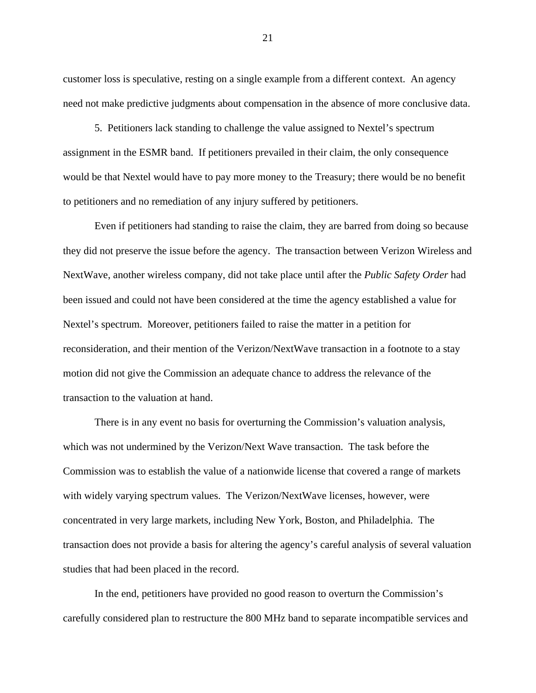customer loss is speculative, resting on a single example from a different context. An agency need not make predictive judgments about compensation in the absence of more conclusive data.

5. Petitioners lack standing to challenge the value assigned to Nextel's spectrum assignment in the ESMR band. If petitioners prevailed in their claim, the only consequence would be that Nextel would have to pay more money to the Treasury; there would be no benefit to petitioners and no remediation of any injury suffered by petitioners.

Even if petitioners had standing to raise the claim, they are barred from doing so because they did not preserve the issue before the agency. The transaction between Verizon Wireless and NextWave, another wireless company, did not take place until after the *Public Safety Order* had been issued and could not have been considered at the time the agency established a value for Nextel's spectrum. Moreover, petitioners failed to raise the matter in a petition for reconsideration, and their mention of the Verizon/NextWave transaction in a footnote to a stay motion did not give the Commission an adequate chance to address the relevance of the transaction to the valuation at hand.

There is in any event no basis for overturning the Commission's valuation analysis, which was not undermined by the Verizon/Next Wave transaction. The task before the Commission was to establish the value of a nationwide license that covered a range of markets with widely varying spectrum values. The Verizon/NextWave licenses, however, were concentrated in very large markets, including New York, Boston, and Philadelphia. The transaction does not provide a basis for altering the agency's careful analysis of several valuation studies that had been placed in the record.

In the end, petitioners have provided no good reason to overturn the Commission's carefully considered plan to restructure the 800 MHz band to separate incompatible services and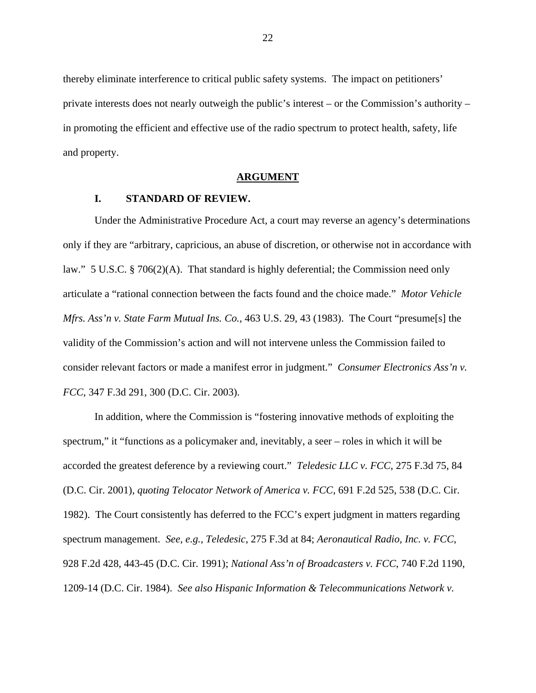thereby eliminate interference to critical public safety systems. The impact on petitioners' private interests does not nearly outweigh the public's interest – or the Commission's authority – in promoting the efficient and effective use of the radio spectrum to protect health, safety, life and property.

#### **ARGUMENT**

## **I. STANDARD OF REVIEW.**

Under the Administrative Procedure Act, a court may reverse an agency's determinations only if they are "arbitrary, capricious, an abuse of discretion, or otherwise not in accordance with law." 5 U.S.C. § 706(2)(A). That standard is highly deferential; the Commission need only articulate a "rational connection between the facts found and the choice made." *Motor Vehicle Mfrs. Ass'n v. State Farm Mutual Ins. Co.*, 463 U.S. 29, 43 (1983). The Court "presume[s] the validity of the Commission's action and will not intervene unless the Commission failed to consider relevant factors or made a manifest error in judgment." *Consumer Electronics Ass'n v. FCC*, 347 F.3d 291, 300 (D.C. Cir. 2003).

In addition, where the Commission is "fostering innovative methods of exploiting the spectrum," it "functions as a policymaker and, inevitably, a seer – roles in which it will be accorded the greatest deference by a reviewing court." *Teledesic LLC v. FCC*, 275 F.3d 75, 84 (D.C. Cir. 2001), *quoting Telocator Network of America v. FCC*, 691 F.2d 525, 538 (D.C. Cir. 1982). The Court consistently has deferred to the FCC's expert judgment in matters regarding spectrum management. *See*, *e.g.*, *Teledesic*, 275 F.3d at 84; *Aeronautical Radio, Inc. v. FCC*, 928 F.2d 428, 443-45 (D.C. Cir. 1991); *National Ass'n of Broadcasters v. FCC*, 740 F.2d 1190, 1209-14 (D.C. Cir. 1984). *See also Hispanic Information & Telecommunications Network v.*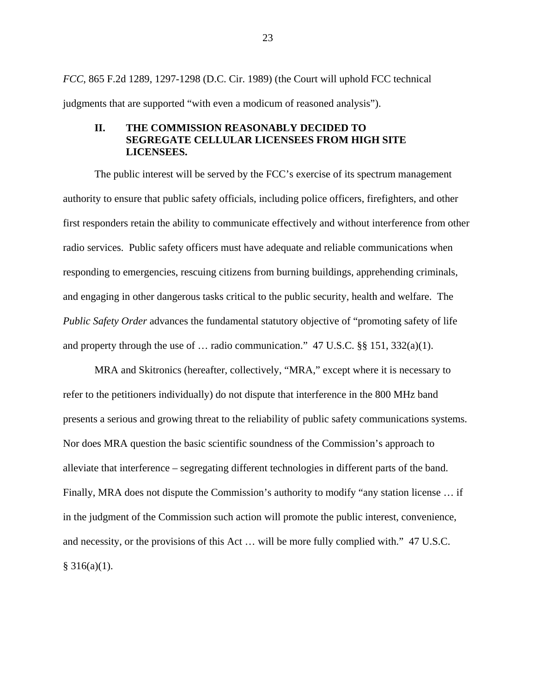*FCC*, 865 F.2d 1289, 1297-1298 (D.C. Cir. 1989) (the Court will uphold FCC technical judgments that are supported "with even a modicum of reasoned analysis").

# **II. THE COMMISSION REASONABLY DECIDED TO SEGREGATE CELLULAR LICENSEES FROM HIGH SITE LICENSEES.**

The public interest will be served by the FCC's exercise of its spectrum management authority to ensure that public safety officials, including police officers, firefighters, and other first responders retain the ability to communicate effectively and without interference from other radio services. Public safety officers must have adequate and reliable communications when responding to emergencies, rescuing citizens from burning buildings, apprehending criminals, and engaging in other dangerous tasks critical to the public security, health and welfare. The *Public Safety Order* advances the fundamental statutory objective of "promoting safety of life and property through the use of  $\ldots$  radio communication." 47 U.S.C. §§ 151, 332(a)(1).

MRA and Skitronics (hereafter, collectively, "MRA," except where it is necessary to refer to the petitioners individually) do not dispute that interference in the 800 MHz band presents a serious and growing threat to the reliability of public safety communications systems. Nor does MRA question the basic scientific soundness of the Commission's approach to alleviate that interference – segregating different technologies in different parts of the band. Finally, MRA does not dispute the Commission's authority to modify "any station license … if in the judgment of the Commission such action will promote the public interest, convenience, and necessity, or the provisions of this Act … will be more fully complied with." 47 U.S.C.  $§ 316(a)(1).$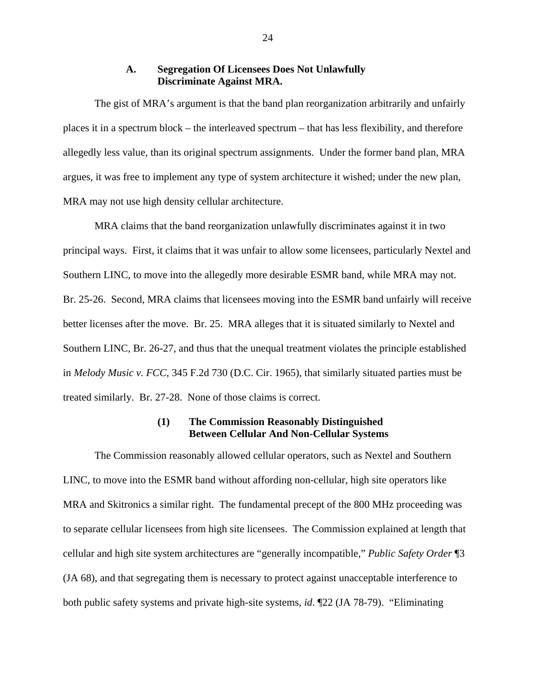### **A. Segregation Of Licensees Does Not Unlawfully Discriminate Against MRA.**

The gist of MRA's argument is that the band plan reorganization arbitrarily and unfairly places it in a spectrum block – the interleaved spectrum – that has less flexibility, and therefore allegedly less value, than its original spectrum assignments. Under the former band plan, MRA argues, it was free to implement any type of system architecture it wished; under the new plan, MRA may not use high density cellular architecture.

MRA claims that the band reorganization unlawfully discriminates against it in two principal ways. First, it claims that it was unfair to allow some licensees, particularly Nextel and Southern LINC, to move into the allegedly more desirable ESMR band, while MRA may not. Br. 25-26. Second, MRA claims that licensees moving into the ESMR band unfairly will receive better licenses after the move. Br. 25. MRA alleges that it is situated similarly to Nextel and Southern LINC, Br. 26-27, and thus that the unequal treatment violates the principle established in *Melody Music v. FCC*, 345 F.2d 730 (D.C. Cir. 1965), that similarly situated parties must be treated similarly. Br. 27-28. None of those claims is correct.

### **(1) The Commission Reasonably Distinguished Between Cellular And Non-Cellular Systems**

The Commission reasonably allowed cellular operators, such as Nextel and Southern LINC, to move into the ESMR band without affording non-cellular, high site operators like MRA and Skitronics a similar right. The fundamental precept of the 800 MHz proceeding was to separate cellular licensees from high site licensees. The Commission explained at length that cellular and high site system architectures are "generally incompatible," *Public Safety Order* ¶3 (JA 68), and that segregating them is necessary to protect against unacceptable interference to both public safety systems and private high-site systems, *id*. ¶22 (JA 78-79). "Eliminating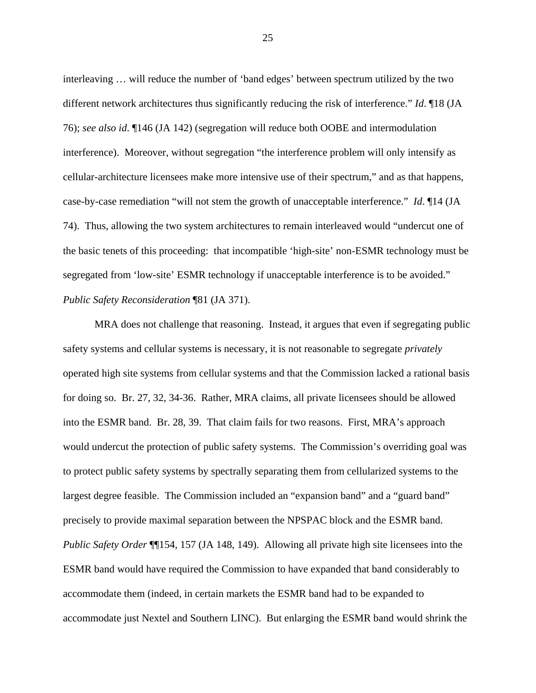interleaving … will reduce the number of 'band edges' between spectrum utilized by the two different network architectures thus significantly reducing the risk of interference." *Id*. ¶18 (JA 76); *see also id*. ¶146 (JA 142) (segregation will reduce both OOBE and intermodulation interference). Moreover, without segregation "the interference problem will only intensify as cellular-architecture licensees make more intensive use of their spectrum," and as that happens, case-by-case remediation "will not stem the growth of unacceptable interference." *Id*. ¶14 (JA 74). Thus, allowing the two system architectures to remain interleaved would "undercut one of the basic tenets of this proceeding: that incompatible 'high-site' non-ESMR technology must be segregated from 'low-site' ESMR technology if unacceptable interference is to be avoided." *Public Safety Reconsideration* ¶81 (JA 371).

MRA does not challenge that reasoning. Instead, it argues that even if segregating public safety systems and cellular systems is necessary, it is not reasonable to segregate *privately* operated high site systems from cellular systems and that the Commission lacked a rational basis for doing so. Br. 27, 32, 34-36. Rather, MRA claims, all private licensees should be allowed into the ESMR band. Br. 28, 39. That claim fails for two reasons. First, MRA's approach would undercut the protection of public safety systems. The Commission's overriding goal was to protect public safety systems by spectrally separating them from cellularized systems to the largest degree feasible. The Commission included an "expansion band" and a "guard band" precisely to provide maximal separation between the NPSPAC block and the ESMR band. *Public Safety Order* ¶¶154, 157 (JA 148, 149). Allowing all private high site licensees into the ESMR band would have required the Commission to have expanded that band considerably to accommodate them (indeed, in certain markets the ESMR band had to be expanded to accommodate just Nextel and Southern LINC). But enlarging the ESMR band would shrink the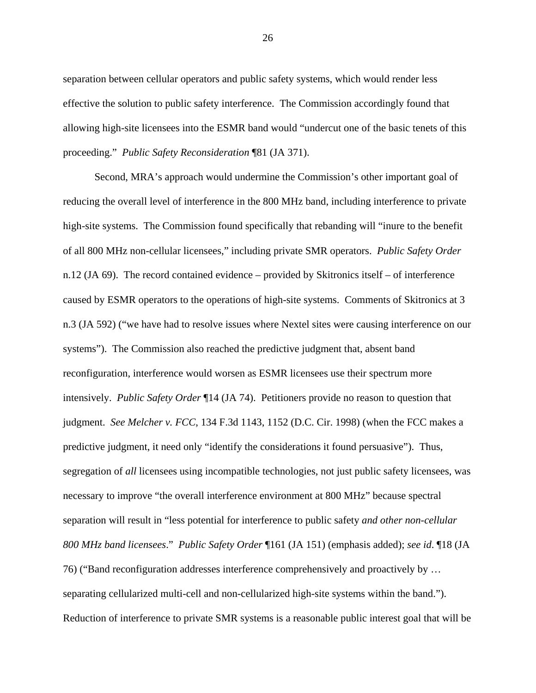separation between cellular operators and public safety systems, which would render less effective the solution to public safety interference. The Commission accordingly found that allowing high-site licensees into the ESMR band would "undercut one of the basic tenets of this proceeding." *Public Safety Reconsideration* ¶81 (JA 371).

Second, MRA's approach would undermine the Commission's other important goal of reducing the overall level of interference in the 800 MHz band, including interference to private high-site systems. The Commission found specifically that rebanding will "inure to the benefit of all 800 MHz non-cellular licensees," including private SMR operators. *Public Safety Order* n.12 (JA 69). The record contained evidence – provided by Skitronics itself – of interference caused by ESMR operators to the operations of high-site systems. Comments of Skitronics at 3 n.3 (JA 592) ("we have had to resolve issues where Nextel sites were causing interference on our systems"). The Commission also reached the predictive judgment that, absent band reconfiguration, interference would worsen as ESMR licensees use their spectrum more intensively. *Public Safety Order* ¶14 (JA 74). Petitioners provide no reason to question that judgment. *See Melcher v. FCC*, 134 F.3d 1143, 1152 (D.C. Cir. 1998) (when the FCC makes a predictive judgment, it need only "identify the considerations it found persuasive"). Thus, segregation of *all* licensees using incompatible technologies, not just public safety licensees, was necessary to improve "the overall interference environment at 800 MHz" because spectral separation will result in "less potential for interference to public safety *and other non-cellular 800 MHz band licensees*." *Public Safety Order* ¶161 (JA 151) (emphasis added); *see id*. ¶18 (JA 76) ("Band reconfiguration addresses interference comprehensively and proactively by … separating cellularized multi-cell and non-cellularized high-site systems within the band."). Reduction of interference to private SMR systems is a reasonable public interest goal that will be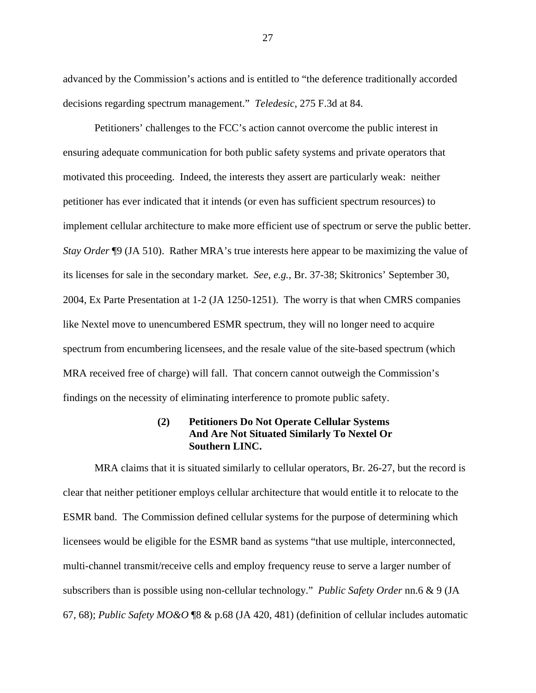advanced by the Commission's actions and is entitled to "the deference traditionally accorded decisions regarding spectrum management." *Teledesic*, 275 F.3d at 84.

Petitioners' challenges to the FCC's action cannot overcome the public interest in ensuring adequate communication for both public safety systems and private operators that motivated this proceeding. Indeed, the interests they assert are particularly weak: neither petitioner has ever indicated that it intends (or even has sufficient spectrum resources) to implement cellular architecture to make more efficient use of spectrum or serve the public better. *Stay Order* ¶9 (JA 510). Rather MRA's true interests here appear to be maximizing the value of its licenses for sale in the secondary market. *See*, *e.g.*, Br. 37-38; Skitronics' September 30, 2004, Ex Parte Presentation at 1-2 (JA 1250-1251). The worry is that when CMRS companies like Nextel move to unencumbered ESMR spectrum, they will no longer need to acquire spectrum from encumbering licensees, and the resale value of the site-based spectrum (which MRA received free of charge) will fall. That concern cannot outweigh the Commission's findings on the necessity of eliminating interference to promote public safety.

# **(2) Petitioners Do Not Operate Cellular Systems And Are Not Situated Similarly To Nextel Or Southern LINC.**

MRA claims that it is situated similarly to cellular operators, Br. 26-27, but the record is clear that neither petitioner employs cellular architecture that would entitle it to relocate to the ESMR band. The Commission defined cellular systems for the purpose of determining which licensees would be eligible for the ESMR band as systems "that use multiple, interconnected, multi-channel transmit/receive cells and employ frequency reuse to serve a larger number of subscribers than is possible using non-cellular technology." *Public Safety Order* nn.6 & 9 (JA 67, 68); *Public Safety MO&O* ¶8 & p.68 (JA 420, 481) (definition of cellular includes automatic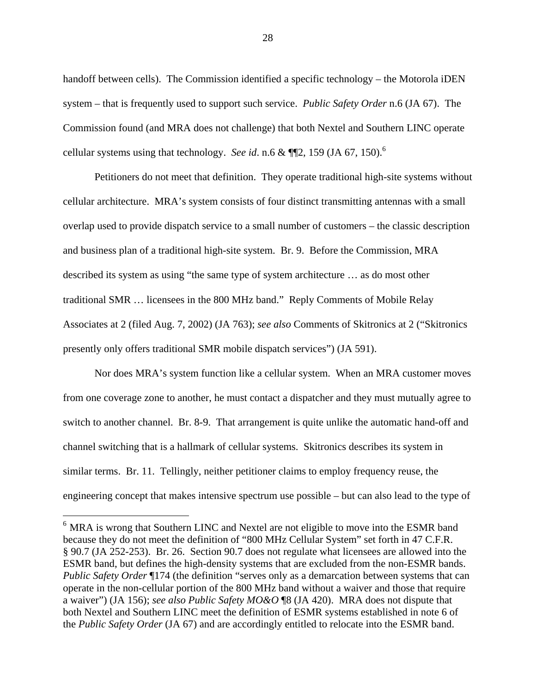handoff between cells). The Commission identified a specific technology – the Motorola iDEN system – that is frequently used to support such service. *Public Safety Order* n.6 (JA 67). The Commission found (and MRA does not challenge) that both Nextel and Southern LINC operate cellular systems using that technology. *See id.* n.6  $\&$  ¶[2, 159 (JA 67, 150).<sup>6</sup>

Petitioners do not meet that definition. They operate traditional high-site systems without cellular architecture. MRA's system consists of four distinct transmitting antennas with a small overlap used to provide dispatch service to a small number of customers – the classic description and business plan of a traditional high-site system. Br. 9. Before the Commission, MRA described its system as using "the same type of system architecture … as do most other traditional SMR … licensees in the 800 MHz band." Reply Comments of Mobile Relay Associates at 2 (filed Aug. 7, 2002) (JA 763); *see also* Comments of Skitronics at 2 ("Skitronics presently only offers traditional SMR mobile dispatch services") (JA 591).

Nor does MRA's system function like a cellular system. When an MRA customer moves from one coverage zone to another, he must contact a dispatcher and they must mutually agree to switch to another channel. Br. 8-9. That arrangement is quite unlike the automatic hand-off and channel switching that is a hallmark of cellular systems. Skitronics describes its system in similar terms. Br. 11. Tellingly, neither petitioner claims to employ frequency reuse, the engineering concept that makes intensive spectrum use possible – but can also lead to the type of

 $\overline{a}$ 

<sup>6</sup> MRA is wrong that Southern LINC and Nextel are not eligible to move into the ESMR band because they do not meet the definition of "800 MHz Cellular System" set forth in 47 C.F.R. § 90.7 (JA 252-253). Br. 26. Section 90.7 does not regulate what licensees are allowed into the ESMR band, but defines the high-density systems that are excluded from the non-ESMR bands. *Public Safety Order* ¶174 (the definition "serves only as a demarcation between systems that can operate in the non-cellular portion of the 800 MHz band without a waiver and those that require a waiver") (JA 156); *see also Public Safety MO&O* ¶8 (JA 420). MRA does not dispute that both Nextel and Southern LINC meet the definition of ESMR systems established in note 6 of the *Public Safety Order* (JA 67) and are accordingly entitled to relocate into the ESMR band.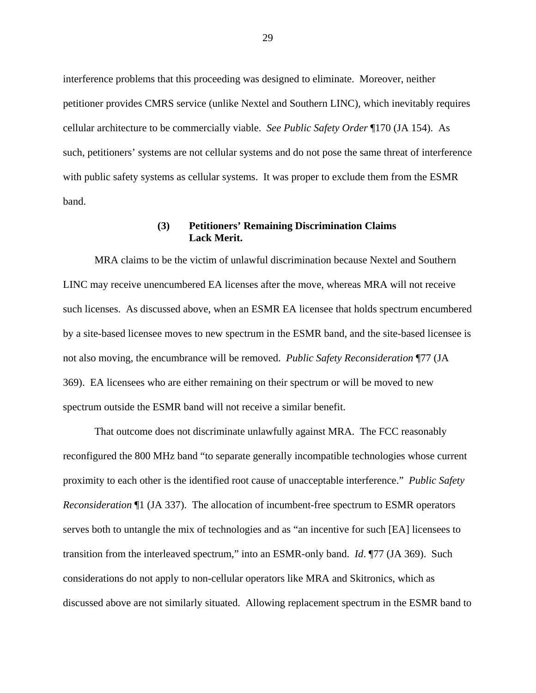interference problems that this proceeding was designed to eliminate. Moreover, neither petitioner provides CMRS service (unlike Nextel and Southern LINC), which inevitably requires cellular architecture to be commercially viable. *See Public Safety Order* ¶170 (JA 154). As such, petitioners' systems are not cellular systems and do not pose the same threat of interference with public safety systems as cellular systems. It was proper to exclude them from the ESMR band.

## **(3) Petitioners' Remaining Discrimination Claims Lack Merit.**

MRA claims to be the victim of unlawful discrimination because Nextel and Southern LINC may receive unencumbered EA licenses after the move, whereas MRA will not receive such licenses. As discussed above, when an ESMR EA licensee that holds spectrum encumbered by a site-based licensee moves to new spectrum in the ESMR band, and the site-based licensee is not also moving, the encumbrance will be removed. *Public Safety Reconsideration* ¶77 (JA 369). EA licensees who are either remaining on their spectrum or will be moved to new spectrum outside the ESMR band will not receive a similar benefit.

That outcome does not discriminate unlawfully against MRA. The FCC reasonably reconfigured the 800 MHz band "to separate generally incompatible technologies whose current proximity to each other is the identified root cause of unacceptable interference." *Public Safety Reconsideration* ¶1 (JA 337). The allocation of incumbent-free spectrum to ESMR operators serves both to untangle the mix of technologies and as "an incentive for such [EA] licensees to transition from the interleaved spectrum," into an ESMR-only band. *Id*. ¶77 (JA 369). Such considerations do not apply to non-cellular operators like MRA and Skitronics, which as discussed above are not similarly situated. Allowing replacement spectrum in the ESMR band to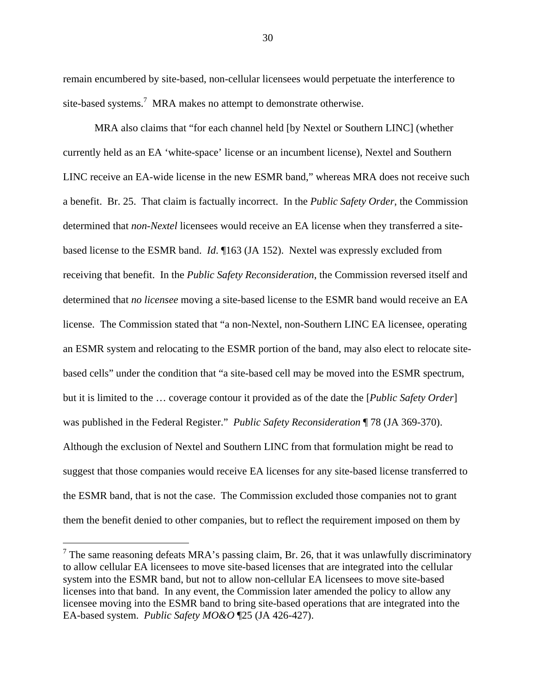remain encumbered by site-based, non-cellular licensees would perpetuate the interference to site-based systems.<sup>7</sup> MRA makes no attempt to demonstrate otherwise.

MRA also claims that "for each channel held [by Nextel or Southern LINC] (whether currently held as an EA 'white-space' license or an incumbent license), Nextel and Southern LINC receive an EA-wide license in the new ESMR band," whereas MRA does not receive such a benefit. Br. 25. That claim is factually incorrect. In the *Public Safety Order*, the Commission determined that *non-Nextel* licensees would receive an EA license when they transferred a sitebased license to the ESMR band. *Id*. ¶163 (JA 152). Nextel was expressly excluded from receiving that benefit. In the *Public Safety Reconsideration*, the Commission reversed itself and determined that *no licensee* moving a site-based license to the ESMR band would receive an EA license. The Commission stated that "a non-Nextel, non-Southern LINC EA licensee, operating an ESMR system and relocating to the ESMR portion of the band, may also elect to relocate sitebased cells" under the condition that "a site-based cell may be moved into the ESMR spectrum, but it is limited to the … coverage contour it provided as of the date the [*Public Safety Order*] was published in the Federal Register." *Public Safety Reconsideration* ¶ 78 (JA 369-370). Although the exclusion of Nextel and Southern LINC from that formulation might be read to suggest that those companies would receive EA licenses for any site-based license transferred to the ESMR band, that is not the case. The Commission excluded those companies not to grant them the benefit denied to other companies, but to reflect the requirement imposed on them by

 $\overline{a}$ 

<sup>&</sup>lt;sup>7</sup> The same reasoning defeats MRA's passing claim, Br. 26, that it was unlawfully discriminatory to allow cellular EA licensees to move site-based licenses that are integrated into the cellular system into the ESMR band, but not to allow non-cellular EA licensees to move site-based licenses into that band. In any event, the Commission later amended the policy to allow any licensee moving into the ESMR band to bring site-based operations that are integrated into the EA-based system. *Public Safety MO&O* ¶25 (JA 426-427).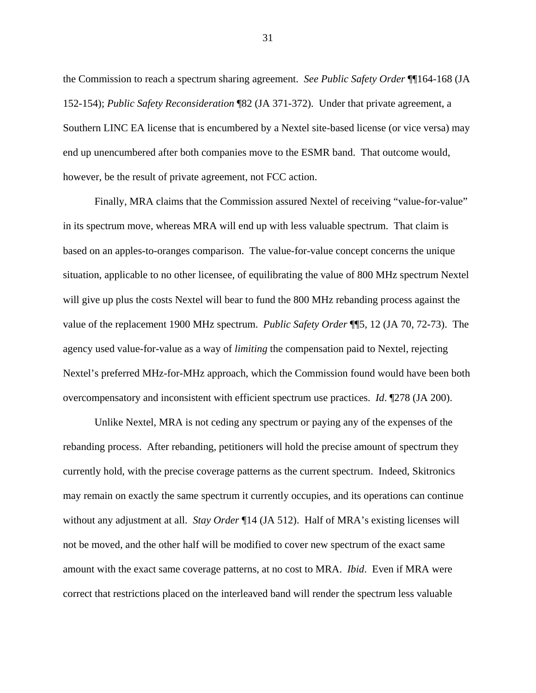the Commission to reach a spectrum sharing agreement. *See Public Safety Order* ¶¶164-168 (JA 152-154); *Public Safety Reconsideration* ¶82 (JA 371-372). Under that private agreement, a Southern LINC EA license that is encumbered by a Nextel site-based license (or vice versa) may end up unencumbered after both companies move to the ESMR band. That outcome would, however, be the result of private agreement, not FCC action.

Finally, MRA claims that the Commission assured Nextel of receiving "value-for-value" in its spectrum move, whereas MRA will end up with less valuable spectrum. That claim is based on an apples-to-oranges comparison. The value-for-value concept concerns the unique situation, applicable to no other licensee, of equilibrating the value of 800 MHz spectrum Nextel will give up plus the costs Nextel will bear to fund the 800 MHz rebanding process against the value of the replacement 1900 MHz spectrum. *Public Safety Order* ¶¶5, 12 (JA 70, 72-73). The agency used value-for-value as a way of *limiting* the compensation paid to Nextel, rejecting Nextel's preferred MHz-for-MHz approach, which the Commission found would have been both overcompensatory and inconsistent with efficient spectrum use practices. *Id*. ¶278 (JA 200).

Unlike Nextel, MRA is not ceding any spectrum or paying any of the expenses of the rebanding process. After rebanding, petitioners will hold the precise amount of spectrum they currently hold, with the precise coverage patterns as the current spectrum. Indeed, Skitronics may remain on exactly the same spectrum it currently occupies, and its operations can continue without any adjustment at all. *Stay Order* ¶14 (JA 512). Half of MRA's existing licenses will not be moved, and the other half will be modified to cover new spectrum of the exact same amount with the exact same coverage patterns, at no cost to MRA. *Ibid*. Even if MRA were correct that restrictions placed on the interleaved band will render the spectrum less valuable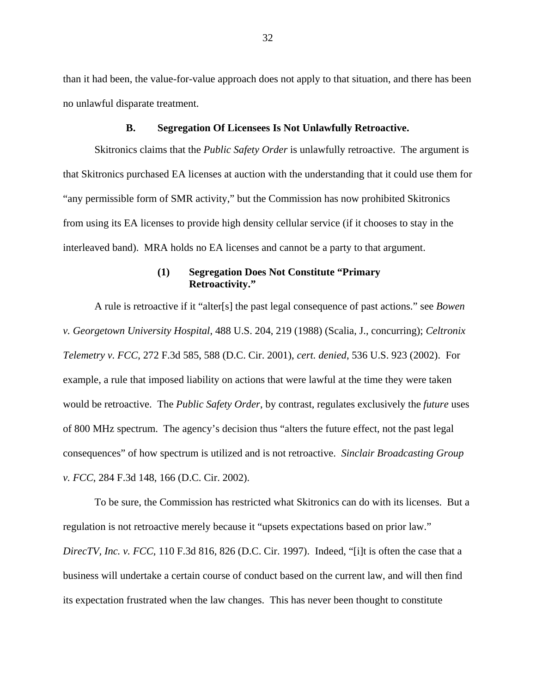than it had been, the value-for-value approach does not apply to that situation, and there has been no unlawful disparate treatment.

#### **B. Segregation Of Licensees Is Not Unlawfully Retroactive.**

Skitronics claims that the *Public Safety Order* is unlawfully retroactive. The argument is that Skitronics purchased EA licenses at auction with the understanding that it could use them for "any permissible form of SMR activity," but the Commission has now prohibited Skitronics from using its EA licenses to provide high density cellular service (if it chooses to stay in the interleaved band). MRA holds no EA licenses and cannot be a party to that argument.

## **(1) Segregation Does Not Constitute "Primary Retroactivity."**

A rule is retroactive if it "alter[s] the past legal consequence of past actions." see *Bowen v. Georgetown University Hospital*, 488 U.S. 204, 219 (1988) (Scalia, J., concurring); *Celtronix Telemetry v. FCC*, 272 F.3d 585, 588 (D.C. Cir. 2001), *cert. denied*, 536 U.S. 923 (2002). For example, a rule that imposed liability on actions that were lawful at the time they were taken would be retroactive. The *Public Safety Order*, by contrast, regulates exclusively the *future* uses of 800 MHz spectrum. The agency's decision thus "alters the future effect, not the past legal consequences" of how spectrum is utilized and is not retroactive. *Sinclair Broadcasting Group v. FCC*, 284 F.3d 148, 166 (D.C. Cir. 2002).

To be sure, the Commission has restricted what Skitronics can do with its licenses. But a regulation is not retroactive merely because it "upsets expectations based on prior law." *DirecTV, Inc. v. FCC*, 110 F.3d 816, 826 (D.C. Cir. 1997). Indeed, "[i]t is often the case that a business will undertake a certain course of conduct based on the current law, and will then find its expectation frustrated when the law changes. This has never been thought to constitute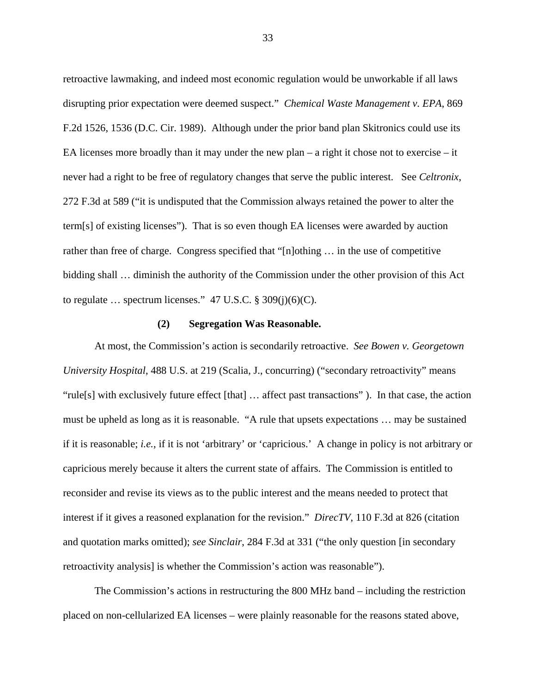retroactive lawmaking, and indeed most economic regulation would be unworkable if all laws disrupting prior expectation were deemed suspect." *Chemical Waste Management v. EPA*, 869 F.2d 1526, 1536 (D.C. Cir. 1989). Although under the prior band plan Skitronics could use its EA licenses more broadly than it may under the new plan – a right it chose not to exercise – it never had a right to be free of regulatory changes that serve the public interest. See *Celtronix*, 272 F.3d at 589 ("it is undisputed that the Commission always retained the power to alter the term[s] of existing licenses"). That is so even though EA licenses were awarded by auction rather than free of charge. Congress specified that "[n]othing … in the use of competitive bidding shall … diminish the authority of the Commission under the other provision of this Act to regulate  $\ldots$  spectrum licenses." 47 U.S.C. § 309(j)(6)(C).

#### **(2) Segregation Was Reasonable.**

At most, the Commission's action is secondarily retroactive. *See Bowen v. Georgetown University Hospital*, 488 U.S. at 219 (Scalia, J., concurring) ("secondary retroactivity" means "rule[s] with exclusively future effect [that] … affect past transactions" ). In that case, the action must be upheld as long as it is reasonable. "A rule that upsets expectations … may be sustained if it is reasonable; *i.e.*, if it is not 'arbitrary' or 'capricious.' A change in policy is not arbitrary or capricious merely because it alters the current state of affairs. The Commission is entitled to reconsider and revise its views as to the public interest and the means needed to protect that interest if it gives a reasoned explanation for the revision." *DirecTV*, 110 F.3d at 826 (citation and quotation marks omitted); *see Sinclair*, 284 F.3d at 331 ("the only question [in secondary retroactivity analysis] is whether the Commission's action was reasonable").

The Commission's actions in restructuring the 800 MHz band – including the restriction placed on non-cellularized EA licenses – were plainly reasonable for the reasons stated above,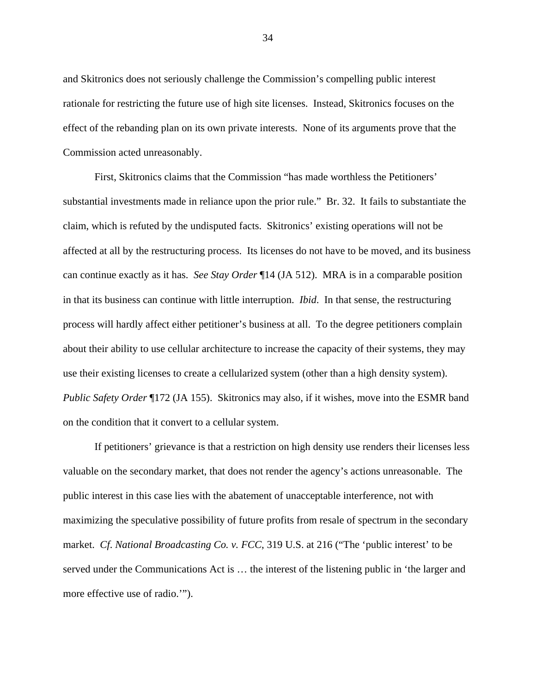and Skitronics does not seriously challenge the Commission's compelling public interest rationale for restricting the future use of high site licenses. Instead, Skitronics focuses on the effect of the rebanding plan on its own private interests. None of its arguments prove that the Commission acted unreasonably.

First, Skitronics claims that the Commission "has made worthless the Petitioners' substantial investments made in reliance upon the prior rule." Br. 32. It fails to substantiate the claim, which is refuted by the undisputed facts. Skitronics' existing operations will not be affected at all by the restructuring process. Its licenses do not have to be moved, and its business can continue exactly as it has. *See Stay Order* ¶14 (JA 512). MRA is in a comparable position in that its business can continue with little interruption. *Ibid*. In that sense, the restructuring process will hardly affect either petitioner's business at all. To the degree petitioners complain about their ability to use cellular architecture to increase the capacity of their systems, they may use their existing licenses to create a cellularized system (other than a high density system). *Public Safety Order* ¶172 (JA 155). Skitronics may also, if it wishes, move into the ESMR band on the condition that it convert to a cellular system.

If petitioners' grievance is that a restriction on high density use renders their licenses less valuable on the secondary market, that does not render the agency's actions unreasonable. The public interest in this case lies with the abatement of unacceptable interference, not with maximizing the speculative possibility of future profits from resale of spectrum in the secondary market. *Cf*. *National Broadcasting Co. v. FCC*, 319 U.S. at 216 ("The 'public interest' to be served under the Communications Act is … the interest of the listening public in 'the larger and more effective use of radio.'").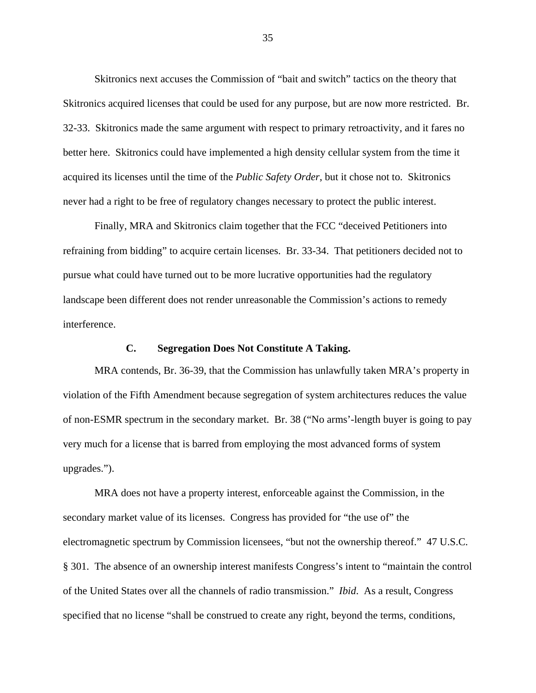Skitronics next accuses the Commission of "bait and switch" tactics on the theory that Skitronics acquired licenses that could be used for any purpose, but are now more restricted. Br. 32-33. Skitronics made the same argument with respect to primary retroactivity, and it fares no better here. Skitronics could have implemented a high density cellular system from the time it acquired its licenses until the time of the *Public Safety Order*, but it chose not to. Skitronics never had a right to be free of regulatory changes necessary to protect the public interest.

Finally, MRA and Skitronics claim together that the FCC "deceived Petitioners into refraining from bidding" to acquire certain licenses. Br. 33-34. That petitioners decided not to pursue what could have turned out to be more lucrative opportunities had the regulatory landscape been different does not render unreasonable the Commission's actions to remedy interference.

#### **C. Segregation Does Not Constitute A Taking.**

MRA contends, Br. 36-39, that the Commission has unlawfully taken MRA's property in violation of the Fifth Amendment because segregation of system architectures reduces the value of non-ESMR spectrum in the secondary market. Br. 38 ("No arms'-length buyer is going to pay very much for a license that is barred from employing the most advanced forms of system upgrades.").

MRA does not have a property interest, enforceable against the Commission, in the secondary market value of its licenses. Congress has provided for "the use of" the electromagnetic spectrum by Commission licensees, "but not the ownership thereof." 47 U.S.C. § 301. The absence of an ownership interest manifests Congress's intent to "maintain the control of the United States over all the channels of radio transmission." *Ibid*. As a result, Congress specified that no license "shall be construed to create any right, beyond the terms, conditions,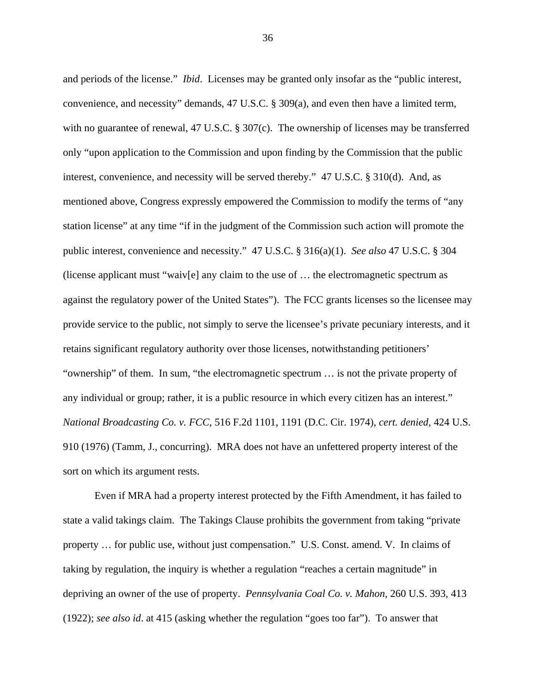and periods of the license." *Ibid*. Licenses may be granted only insofar as the "public interest, convenience, and necessity" demands, 47 U.S.C. § 309(a), and even then have a limited term, with no guarantee of renewal, 47 U.S.C. § 307(c). The ownership of licenses may be transferred only "upon application to the Commission and upon finding by the Commission that the public interest, convenience, and necessity will be served thereby." 47 U.S.C. § 310(d). And, as mentioned above, Congress expressly empowered the Commission to modify the terms of "any station license" at any time "if in the judgment of the Commission such action will promote the public interest, convenience and necessity." 47 U.S.C. § 316(a)(1). *See also* 47 U.S.C. § 304 (license applicant must "waiv[e] any claim to the use of … the electromagnetic spectrum as against the regulatory power of the United States"). The FCC grants licenses so the licensee may provide service to the public, not simply to serve the licensee's private pecuniary interests, and it retains significant regulatory authority over those licenses, notwithstanding petitioners' "ownership" of them. In sum, "the electromagnetic spectrum … is not the private property of any individual or group; rather, it is a public resource in which every citizen has an interest." *National Broadcasting Co. v. FCC*, 516 F.2d 1101, 1191 (D.C. Cir. 1974), *cert. denied*, 424 U.S. 910 (1976) (Tamm, J., concurring). MRA does not have an unfettered property interest of the sort on which its argument rests.

Even if MRA had a property interest protected by the Fifth Amendment, it has failed to state a valid takings claim. The Takings Clause prohibits the government from taking "private property … for public use, without just compensation." U.S. Const. amend. V. In claims of taking by regulation, the inquiry is whether a regulation "reaches a certain magnitude" in depriving an owner of the use of property. *Pennsylvania Coal Co. v. Mahon*, 260 U.S. 393, 413 (1922); *see also id*. at 415 (asking whether the regulation "goes too far"). To answer that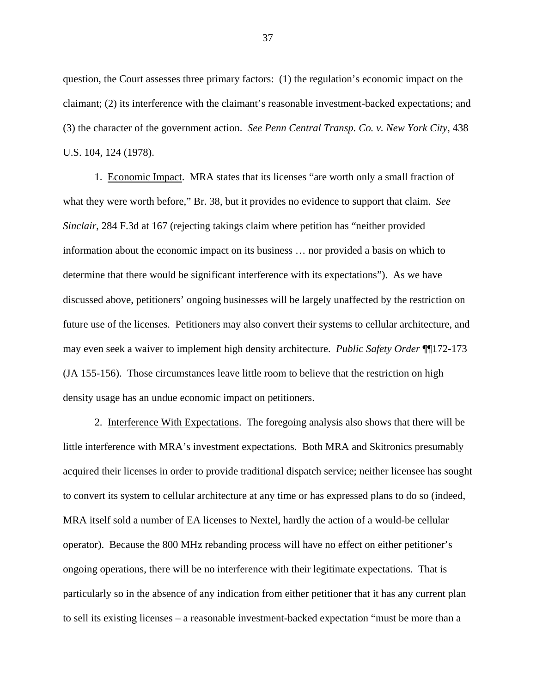question, the Court assesses three primary factors: (1) the regulation's economic impact on the claimant; (2) its interference with the claimant's reasonable investment-backed expectations; and (3) the character of the government action. *See Penn Central Transp. Co. v. New York City,* 438 U.S. 104, 124 (1978).

1. Economic Impact. MRA states that its licenses "are worth only a small fraction of what they were worth before," Br. 38, but it provides no evidence to support that claim. *See Sinclair*, 284 F.3d at 167 (rejecting takings claim where petition has "neither provided information about the economic impact on its business … nor provided a basis on which to determine that there would be significant interference with its expectations"). As we have discussed above, petitioners' ongoing businesses will be largely unaffected by the restriction on future use of the licenses. Petitioners may also convert their systems to cellular architecture, and may even seek a waiver to implement high density architecture. *Public Safety Order* ¶¶172-173 (JA 155-156). Those circumstances leave little room to believe that the restriction on high density usage has an undue economic impact on petitioners.

2. Interference With Expectations. The foregoing analysis also shows that there will be little interference with MRA's investment expectations. Both MRA and Skitronics presumably acquired their licenses in order to provide traditional dispatch service; neither licensee has sought to convert its system to cellular architecture at any time or has expressed plans to do so (indeed, MRA itself sold a number of EA licenses to Nextel, hardly the action of a would-be cellular operator). Because the 800 MHz rebanding process will have no effect on either petitioner's ongoing operations, there will be no interference with their legitimate expectations. That is particularly so in the absence of any indication from either petitioner that it has any current plan to sell its existing licenses – a reasonable investment-backed expectation "must be more than a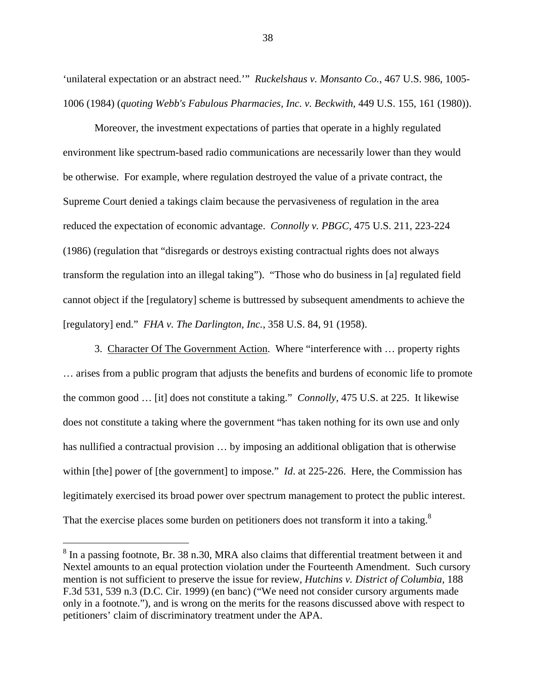'unilateral expectation or an abstract need.'" *Ruckelshaus v. Monsanto Co.*, 467 U.S. 986, 1005- 1006 (1984) (*quoting Webb's Fabulous Pharmacies, Inc. v. Beckwith*, 449 U.S. 155, 161 (1980)).

Moreover, the investment expectations of parties that operate in a highly regulated environment like spectrum-based radio communications are necessarily lower than they would be otherwise. For example, where regulation destroyed the value of a private contract, the Supreme Court denied a takings claim because the pervasiveness of regulation in the area reduced the expectation of economic advantage. *Connolly v. PBGC*, 475 U.S. 211, 223-224 (1986) (regulation that "disregards or destroys existing contractual rights does not always transform the regulation into an illegal taking"). "Those who do business in [a] regulated field cannot object if the [regulatory] scheme is buttressed by subsequent amendments to achieve the [regulatory] end." *FHA v. The Darlington, Inc.*, 358 U.S. 84, 91 (1958).

3. Character Of The Government Action. Where "interference with … property rights … arises from a public program that adjusts the benefits and burdens of economic life to promote the common good … [it] does not constitute a taking." *Connolly*, 475 U.S. at 225. It likewise does not constitute a taking where the government "has taken nothing for its own use and only has nullified a contractual provision ... by imposing an additional obligation that is otherwise within [the] power of [the government] to impose." *Id.* at 225-226. Here, the Commission has legitimately exercised its broad power over spectrum management to protect the public interest. That the exercise places some burden on petitioners does not transform it into a taking.<sup>8</sup>

 $\overline{a}$ 

 $8$  In a passing footnote, Br. 38 n.30, MRA also claims that differential treatment between it and Nextel amounts to an equal protection violation under the Fourteenth Amendment. Such cursory mention is not sufficient to preserve the issue for review, *Hutchins v. District of Columbia,* 188 F.3d 531, 539 n.3 (D.C. Cir. 1999) (en banc) ("We need not consider cursory arguments made only in a footnote."), and is wrong on the merits for the reasons discussed above with respect to petitioners' claim of discriminatory treatment under the APA.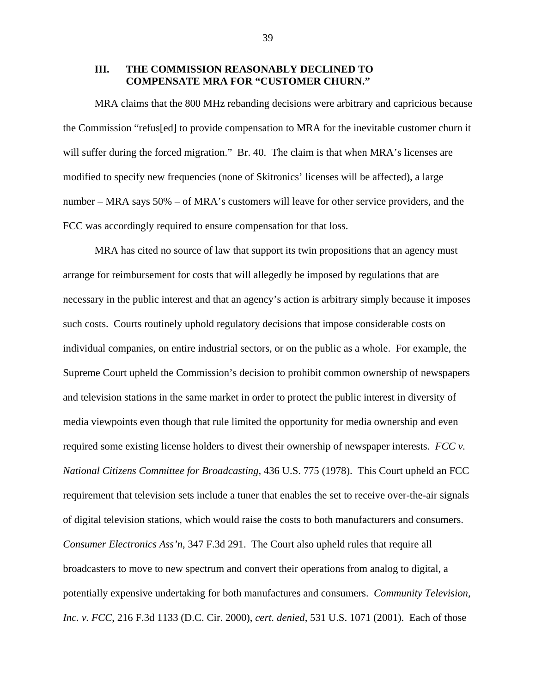#### **III. THE COMMISSION REASONABLY DECLINED TO COMPENSATE MRA FOR "CUSTOMER CHURN."**

MRA claims that the 800 MHz rebanding decisions were arbitrary and capricious because the Commission "refus[ed] to provide compensation to MRA for the inevitable customer churn it will suffer during the forced migration." Br. 40. The claim is that when MRA's licenses are modified to specify new frequencies (none of Skitronics' licenses will be affected), a large number – MRA says 50% – of MRA's customers will leave for other service providers, and the FCC was accordingly required to ensure compensation for that loss.

MRA has cited no source of law that support its twin propositions that an agency must arrange for reimbursement for costs that will allegedly be imposed by regulations that are necessary in the public interest and that an agency's action is arbitrary simply because it imposes such costs. Courts routinely uphold regulatory decisions that impose considerable costs on individual companies, on entire industrial sectors, or on the public as a whole. For example, the Supreme Court upheld the Commission's decision to prohibit common ownership of newspapers and television stations in the same market in order to protect the public interest in diversity of media viewpoints even though that rule limited the opportunity for media ownership and even required some existing license holders to divest their ownership of newspaper interests. *FCC v. National Citizens Committee for Broadcasting*, 436 U.S. 775 (1978). This Court upheld an FCC requirement that television sets include a tuner that enables the set to receive over-the-air signals of digital television stations, which would raise the costs to both manufacturers and consumers. *Consumer Electronics Ass'n*, 347 F.3d 291. The Court also upheld rules that require all broadcasters to move to new spectrum and convert their operations from analog to digital, a potentially expensive undertaking for both manufactures and consumers. *Community Television, Inc. v. FCC*, 216 F.3d 1133 (D.C. Cir. 2000), *cert. denied*, 531 U.S. 1071 (2001). Each of those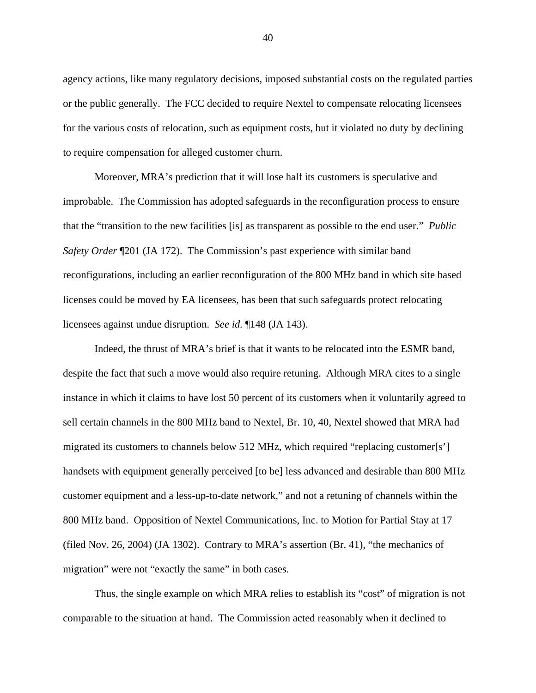agency actions, like many regulatory decisions, imposed substantial costs on the regulated parties or the public generally. The FCC decided to require Nextel to compensate relocating licensees for the various costs of relocation, such as equipment costs, but it violated no duty by declining to require compensation for alleged customer churn.

Moreover, MRA's prediction that it will lose half its customers is speculative and improbable. The Commission has adopted safeguards in the reconfiguration process to ensure that the "transition to the new facilities [is] as transparent as possible to the end user." *Public Safety Order* ¶201 (JA 172). The Commission's past experience with similar band reconfigurations, including an earlier reconfiguration of the 800 MHz band in which site based licenses could be moved by EA licensees, has been that such safeguards protect relocating licensees against undue disruption. *See id.* ¶148 (JA 143).

Indeed, the thrust of MRA's brief is that it wants to be relocated into the ESMR band, despite the fact that such a move would also require retuning. Although MRA cites to a single instance in which it claims to have lost 50 percent of its customers when it voluntarily agreed to sell certain channels in the 800 MHz band to Nextel, Br. 10, 40, Nextel showed that MRA had migrated its customers to channels below 512 MHz, which required "replacing customer[s'] handsets with equipment generally perceived [to be] less advanced and desirable than 800 MHz customer equipment and a less-up-to-date network," and not a retuning of channels within the 800 MHz band. Opposition of Nextel Communications, Inc. to Motion for Partial Stay at 17 (filed Nov. 26, 2004) (JA 1302). Contrary to MRA's assertion (Br. 41), "the mechanics of migration" were not "exactly the same" in both cases.

Thus, the single example on which MRA relies to establish its "cost" of migration is not comparable to the situation at hand. The Commission acted reasonably when it declined to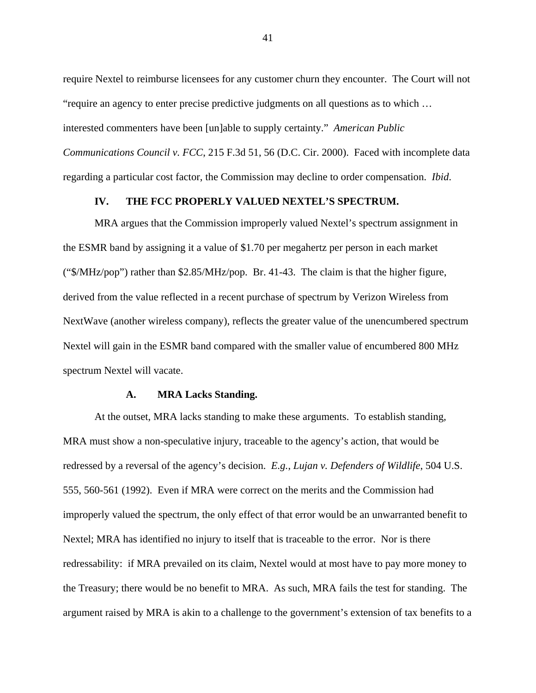require Nextel to reimburse licensees for any customer churn they encounter. The Court will not "require an agency to enter precise predictive judgments on all questions as to which … interested commenters have been [un]able to supply certainty." *American Public Communications Council v. FCC*, 215 F.3d 51, 56 (D.C. Cir. 2000). Faced with incomplete data regarding a particular cost factor, the Commission may decline to order compensation. *Ibid*.

#### **IV. THE FCC PROPERLY VALUED NEXTEL'S SPECTRUM.**

MRA argues that the Commission improperly valued Nextel's spectrum assignment in the ESMR band by assigning it a value of \$1.70 per megahertz per person in each market ("\$/MHz/pop") rather than \$2.85/MHz/pop. Br. 41-43. The claim is that the higher figure, derived from the value reflected in a recent purchase of spectrum by Verizon Wireless from NextWave (another wireless company), reflects the greater value of the unencumbered spectrum Nextel will gain in the ESMR band compared with the smaller value of encumbered 800 MHz spectrum Nextel will vacate.

#### **A. MRA Lacks Standing.**

At the outset, MRA lacks standing to make these arguments. To establish standing, MRA must show a non-speculative injury, traceable to the agency's action, that would be redressed by a reversal of the agency's decision. *E.g.*, *Lujan v. Defenders of Wildlife*, 504 U.S. 555, 560-561 (1992). Even if MRA were correct on the merits and the Commission had improperly valued the spectrum, the only effect of that error would be an unwarranted benefit to Nextel; MRA has identified no injury to itself that is traceable to the error. Nor is there redressability: if MRA prevailed on its claim, Nextel would at most have to pay more money to the Treasury; there would be no benefit to MRA. As such, MRA fails the test for standing. The argument raised by MRA is akin to a challenge to the government's extension of tax benefits to a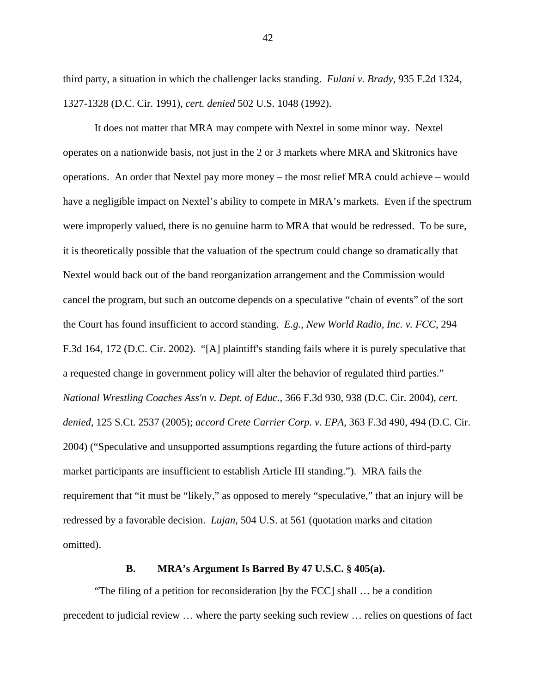third party, a situation in which the challenger lacks standing. *Fulani v. Brady*, 935 F.2d 1324, 1327-1328 (D.C. Cir. 1991), *cert. denied* 502 U.S. 1048 (1992).

It does not matter that MRA may compete with Nextel in some minor way. Nextel operates on a nationwide basis, not just in the 2 or 3 markets where MRA and Skitronics have operations. An order that Nextel pay more money – the most relief MRA could achieve – would have a negligible impact on Nextel's ability to compete in MRA's markets. Even if the spectrum were improperly valued, there is no genuine harm to MRA that would be redressed. To be sure, it is theoretically possible that the valuation of the spectrum could change so dramatically that Nextel would back out of the band reorganization arrangement and the Commission would cancel the program, but such an outcome depends on a speculative "chain of events" of the sort the Court has found insufficient to accord standing. *E.g.*, *New World Radio, Inc. v. FCC*, 294 F.3d 164, 172 (D.C. Cir. 2002). "[A] plaintiff's standing fails where it is purely speculative that a requested change in government policy will alter the behavior of regulated third parties." *National Wrestling Coaches Ass'n v. Dept. of Educ.*, 366 F.3d 930, 938 (D.C. Cir. 2004), *cert. denied*, 125 S.Ct. 2537 (2005); *accord Crete Carrier Corp. v. EPA*, 363 F.3d 490, 494 (D.C. Cir. 2004) ("Speculative and unsupported assumptions regarding the future actions of third-party market participants are insufficient to establish Article III standing."). MRA fails the requirement that "it must be "likely," as opposed to merely "speculative," that an injury will be redressed by a favorable decision. *Lujan*, 504 U.S. at 561 (quotation marks and citation omitted).

## **B. MRA's Argument Is Barred By 47 U.S.C. § 405(a).**

"The filing of a petition for reconsideration [by the FCC] shall … be a condition precedent to judicial review … where the party seeking such review … relies on questions of fact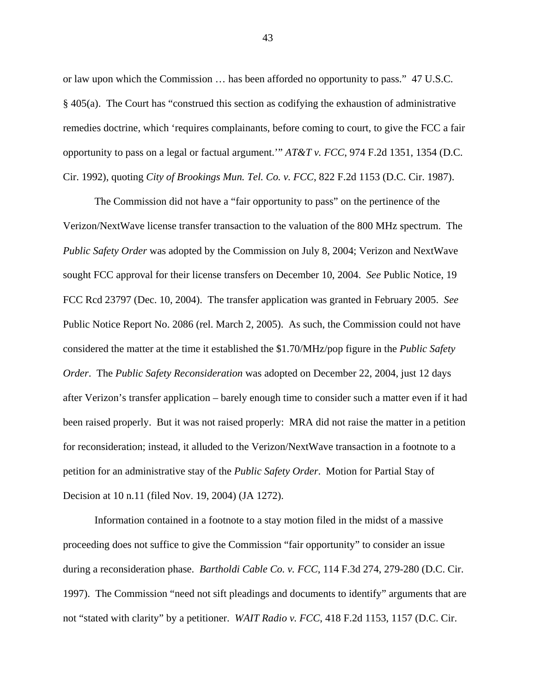or law upon which the Commission … has been afforded no opportunity to pass." 47 U.S.C. § 405(a). The Court has "construed this section as codifying the exhaustion of administrative remedies doctrine, which 'requires complainants, before coming to court, to give the FCC a fair opportunity to pass on a legal or factual argument.'" *AT&T v. FCC*, 974 F.2d 1351, 1354 (D.C. Cir. 1992), quoting *City of Brookings Mun. Tel. Co. v. FCC*, 822 F.2d 1153 (D.C. Cir. 1987).

The Commission did not have a "fair opportunity to pass" on the pertinence of the Verizon/NextWave license transfer transaction to the valuation of the 800 MHz spectrum. The *Public Safety Order* was adopted by the Commission on July 8, 2004; Verizon and NextWave sought FCC approval for their license transfers on December 10, 2004. *See* Public Notice, 19 FCC Rcd 23797 (Dec. 10, 2004). The transfer application was granted in February 2005. *See*  Public Notice Report No. 2086 (rel. March 2, 2005). As such, the Commission could not have considered the matter at the time it established the \$1.70/MHz/pop figure in the *Public Safety Order*. The *Public Safety Reconsideration* was adopted on December 22, 2004, just 12 days after Verizon's transfer application – barely enough time to consider such a matter even if it had been raised properly. But it was not raised properly: MRA did not raise the matter in a petition for reconsideration; instead, it alluded to the Verizon/NextWave transaction in a footnote to a petition for an administrative stay of the *Public Safety Order*. Motion for Partial Stay of Decision at 10 n.11 (filed Nov. 19, 2004) (JA 1272).

Information contained in a footnote to a stay motion filed in the midst of a massive proceeding does not suffice to give the Commission "fair opportunity" to consider an issue during a reconsideration phase. *Bartholdi Cable Co. v. FCC*, 114 F.3d 274, 279-280 (D.C. Cir. 1997). The Commission "need not sift pleadings and documents to identify" arguments that are not "stated with clarity" by a petitioner. *WAIT Radio v. FCC*, 418 F.2d 1153, 1157 (D.C. Cir.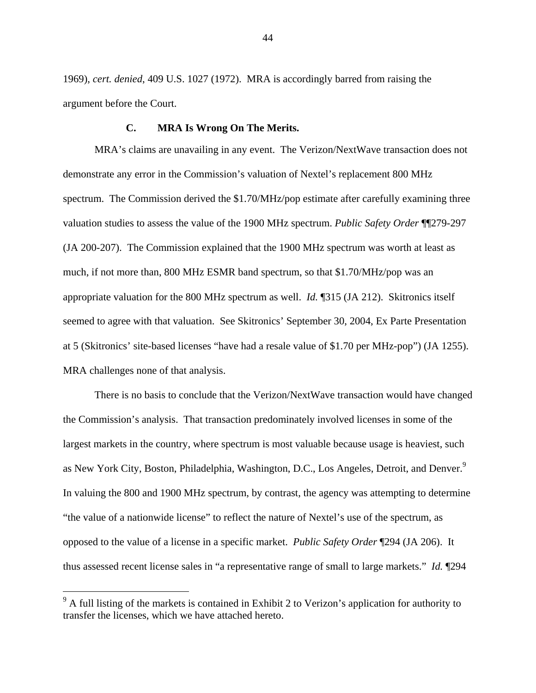1969), *cert. denied*, 409 U.S. 1027 (1972). MRA is accordingly barred from raising the argument before the Court.

#### **C. MRA Is Wrong On The Merits.**

MRA's claims are unavailing in any event. The Verizon/NextWave transaction does not demonstrate any error in the Commission's valuation of Nextel's replacement 800 MHz spectrum. The Commission derived the \$1.70/MHz/pop estimate after carefully examining three valuation studies to assess the value of the 1900 MHz spectrum. *Public Safety Order* ¶¶279-297 (JA 200-207). The Commission explained that the 1900 MHz spectrum was worth at least as much, if not more than, 800 MHz ESMR band spectrum, so that \$1.70/MHz/pop was an appropriate valuation for the 800 MHz spectrum as well. *Id.* ¶315 (JA 212). Skitronics itself seemed to agree with that valuation. See Skitronics' September 30, 2004, Ex Parte Presentation at 5 (Skitronics' site-based licenses "have had a resale value of \$1.70 per MHz-pop") (JA 1255). MRA challenges none of that analysis.

There is no basis to conclude that the Verizon/NextWave transaction would have changed the Commission's analysis. That transaction predominately involved licenses in some of the largest markets in the country, where spectrum is most valuable because usage is heaviest, such as New York City, Boston, Philadelphia, Washington, D.C., Los Angeles, Detroit, and Denver.<sup>9</sup> In valuing the 800 and 1900 MHz spectrum, by contrast, the agency was attempting to determine "the value of a nationwide license" to reflect the nature of Nextel's use of the spectrum, as opposed to the value of a license in a specific market. *Public Safety Order* ¶294 (JA 206). It thus assessed recent license sales in "a representative range of small to large markets." *Id.* ¶294

 $\overline{a}$ 

 $9<sup>9</sup>$  A full listing of the markets is contained in Exhibit 2 to Verizon's application for authority to transfer the licenses, which we have attached hereto.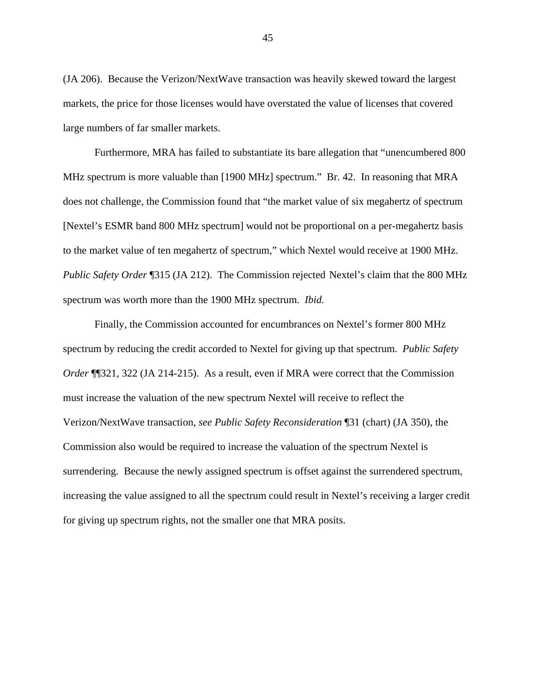(JA 206). Because the Verizon/NextWave transaction was heavily skewed toward the largest markets, the price for those licenses would have overstated the value of licenses that covered large numbers of far smaller markets.

Furthermore, MRA has failed to substantiate its bare allegation that "unencumbered 800 MHz spectrum is more valuable than [1900 MHz] spectrum." Br. 42. In reasoning that MRA does not challenge, the Commission found that "the market value of six megahertz of spectrum [Nextel's ESMR band 800 MHz spectrum] would not be proportional on a per-megahertz basis to the market value of ten megahertz of spectrum," which Nextel would receive at 1900 MHz. *Public Safety Order* ¶315 (JA 212). The Commission rejected Nextel's claim that the 800 MHz spectrum was worth more than the 1900 MHz spectrum. *Ibid.*

Finally, the Commission accounted for encumbrances on Nextel's former 800 MHz spectrum by reducing the credit accorded to Nextel for giving up that spectrum. *Public Safety Order* ¶¶321, 322 (JA 214-215). As a result, even if MRA were correct that the Commission must increase the valuation of the new spectrum Nextel will receive to reflect the Verizon/NextWave transaction, *see Public Safety Reconsideration* ¶31 (chart) (JA 350), the Commission also would be required to increase the valuation of the spectrum Nextel is surrendering. Because the newly assigned spectrum is offset against the surrendered spectrum, increasing the value assigned to all the spectrum could result in Nextel's receiving a larger credit for giving up spectrum rights, not the smaller one that MRA posits.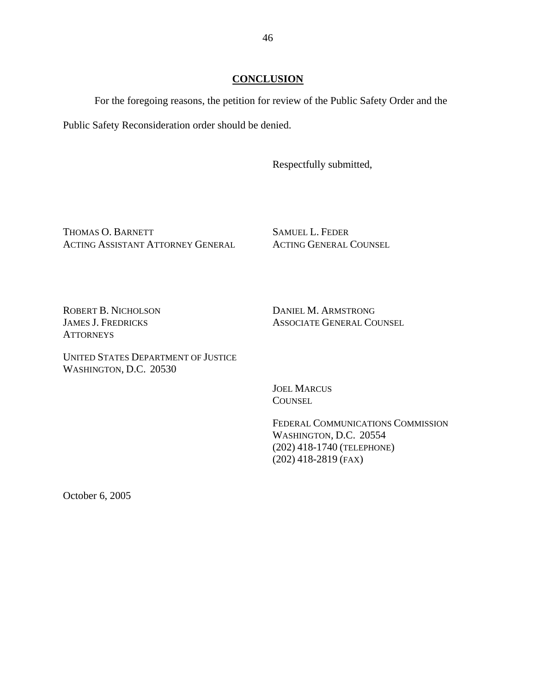For the foregoing reasons, the petition for review of the Public Safety Order and the

Public Safety Reconsideration order should be denied.

Respectfully submitted,

THOMAS O. BARNETT ACTING ASSISTANT ATTORNEY GENERAL SAMUEL L. FEDER ACTING GENERAL COUNSEL

ROBERT B. NICHOLSON JAMES J. FREDRICKS **ATTORNEYS** 

DANIEL M. ARMSTRONG ASSOCIATE GENERAL COUNSEL

UNITED STATES DEPARTMENT OF JUSTICE WASHINGTON, D.C. 20530

> JOEL MARCUS **COUNSEL**

FEDERAL COMMUNICATIONS COMMISSION WASHINGTON, D.C. 20554 (202) 418-1740 (TELEPHONE) (202) 418-2819 (FAX)

October 6, 2005